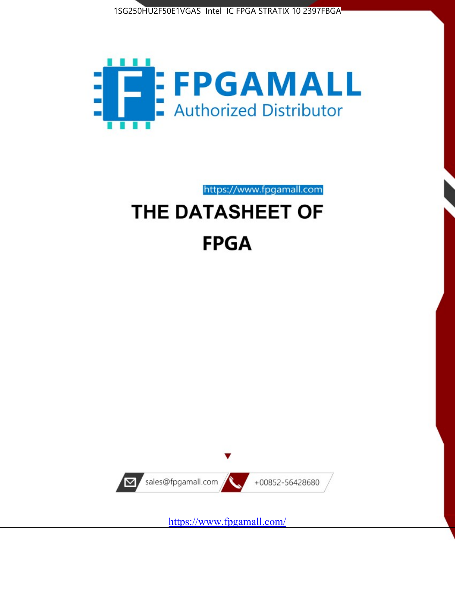1SG250HU2F50E1VGAS Intel IC FPGA STRATIX 10 2397FBGA



https://www.fpgamall.com THE DATASHEET OF

# **FPGA**



<https://www.fpgamall.com/>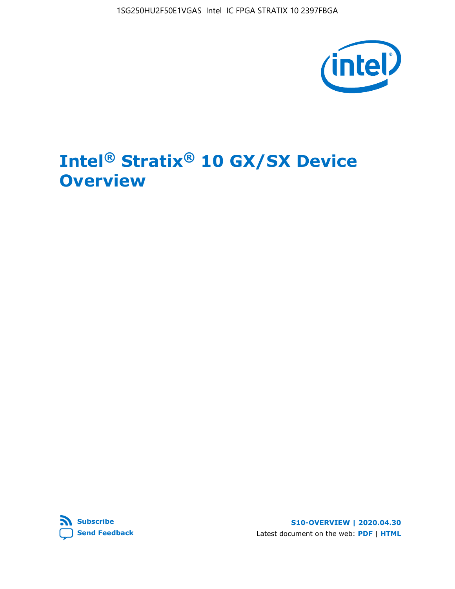

# **Intel® Stratix® 10 GX/SX Device Overview**



**S10-OVERVIEW | 2020.04.30** Latest document on the web: **[PDF](https://www.intel.com/content/dam/www/programmable/us/en/pdfs/literature/hb/stratix-10/s10-overview.pdf)** | **[HTML](https://www.intel.com/content/www/us/en/programmable/documentation/joc1442261161666.html)**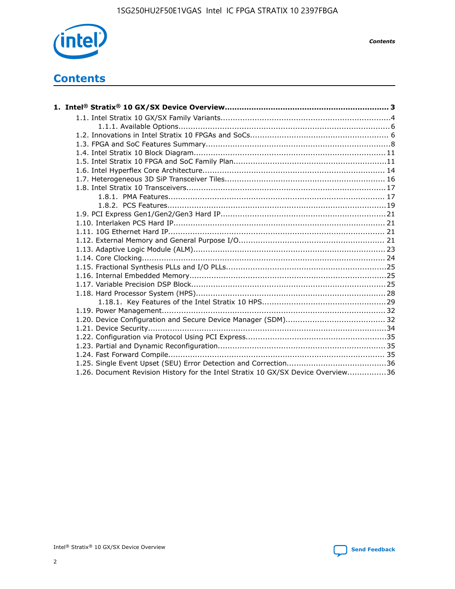

*Contents*

# **Contents**

| 1.26. Document Revision History for the Intel Stratix 10 GX/SX Device Overview36 |  |
|----------------------------------------------------------------------------------|--|

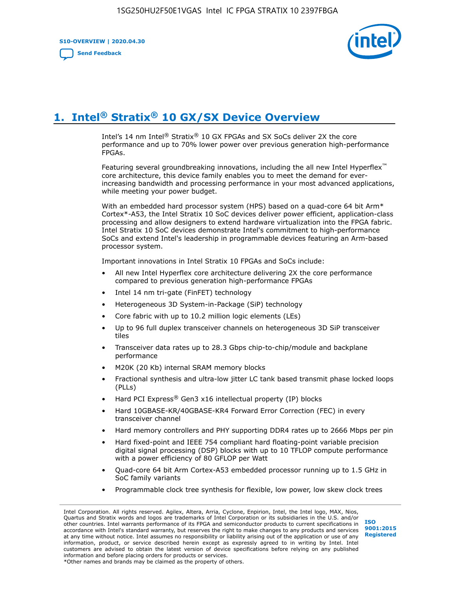**S10-OVERVIEW | 2020.04.30**

**[Send Feedback](mailto:FPGAtechdocfeedback@intel.com?subject=Feedback%20on%20Intel%20Stratix%2010%20GX/SX%20Device%20Overview%20(S10-OVERVIEW%202020.04.30)&body=We%20appreciate%20your%20feedback.%20In%20your%20comments,%20also%20specify%20the%20page%20number%20or%20paragraph.%20Thank%20you.)**



# **1. Intel® Stratix® 10 GX/SX Device Overview**

Intel's 14 nm Intel® Stratix® 10 GX FPGAs and SX SoCs deliver 2X the core performance and up to 70% lower power over previous generation high-performance FPGAs.

Featuring several groundbreaking innovations, including the all new Intel Hyperflex™ core architecture, this device family enables you to meet the demand for everincreasing bandwidth and processing performance in your most advanced applications, while meeting your power budget.

With an embedded hard processor system (HPS) based on a quad-core 64 bit Arm\* Cortex\*-A53, the Intel Stratix 10 SoC devices deliver power efficient, application-class processing and allow designers to extend hardware virtualization into the FPGA fabric. Intel Stratix 10 SoC devices demonstrate Intel's commitment to high-performance SoCs and extend Intel's leadership in programmable devices featuring an Arm-based processor system.

Important innovations in Intel Stratix 10 FPGAs and SoCs include:

- All new Intel Hyperflex core architecture delivering 2X the core performance compared to previous generation high-performance FPGAs
- Intel 14 nm tri-gate (FinFET) technology
- Heterogeneous 3D System-in-Package (SiP) technology
- Core fabric with up to 10.2 million logic elements (LEs)
- Up to 96 full duplex transceiver channels on heterogeneous 3D SiP transceiver tiles
- Transceiver data rates up to 28.3 Gbps chip-to-chip/module and backplane performance
- M20K (20 Kb) internal SRAM memory blocks
- Fractional synthesis and ultra-low jitter LC tank based transmit phase locked loops (PLLs)
- Hard PCI Express<sup>®</sup> Gen3 x16 intellectual property (IP) blocks
- Hard 10GBASE-KR/40GBASE-KR4 Forward Error Correction (FEC) in every transceiver channel
- Hard memory controllers and PHY supporting DDR4 rates up to 2666 Mbps per pin
- Hard fixed-point and IEEE 754 compliant hard floating-point variable precision digital signal processing (DSP) blocks with up to 10 TFLOP compute performance with a power efficiency of 80 GFLOP per Watt
- Quad-core 64 bit Arm Cortex-A53 embedded processor running up to 1.5 GHz in SoC family variants
- Programmable clock tree synthesis for flexible, low power, low skew clock trees

Intel Corporation. All rights reserved. Agilex, Altera, Arria, Cyclone, Enpirion, Intel, the Intel logo, MAX, Nios, Quartus and Stratix words and logos are trademarks of Intel Corporation or its subsidiaries in the U.S. and/or other countries. Intel warrants performance of its FPGA and semiconductor products to current specifications in accordance with Intel's standard warranty, but reserves the right to make changes to any products and services at any time without notice. Intel assumes no responsibility or liability arising out of the application or use of any information, product, or service described herein except as expressly agreed to in writing by Intel. Intel customers are advised to obtain the latest version of device specifications before relying on any published information and before placing orders for products or services. \*Other names and brands may be claimed as the property of others.

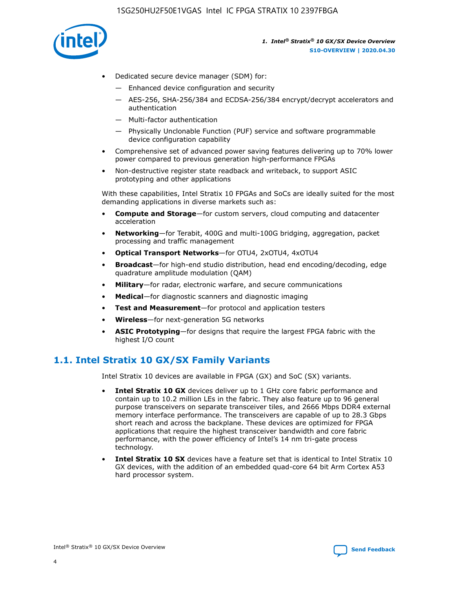

- Dedicated secure device manager (SDM) for:
	- Enhanced device configuration and security
	- AES-256, SHA-256/384 and ECDSA-256/384 encrypt/decrypt accelerators and authentication
	- Multi-factor authentication
	- Physically Unclonable Function (PUF) service and software programmable device configuration capability
- Comprehensive set of advanced power saving features delivering up to 70% lower power compared to previous generation high-performance FPGAs
- Non-destructive register state readback and writeback, to support ASIC prototyping and other applications

With these capabilities, Intel Stratix 10 FPGAs and SoCs are ideally suited for the most demanding applications in diverse markets such as:

- **Compute and Storage**—for custom servers, cloud computing and datacenter acceleration
- **Networking**—for Terabit, 400G and multi-100G bridging, aggregation, packet processing and traffic management
- **Optical Transport Networks**—for OTU4, 2xOTU4, 4xOTU4
- **Broadcast**—for high-end studio distribution, head end encoding/decoding, edge quadrature amplitude modulation (QAM)
- **Military**—for radar, electronic warfare, and secure communications
- **Medical**—for diagnostic scanners and diagnostic imaging
- **Test and Measurement**—for protocol and application testers
- **Wireless**—for next-generation 5G networks
- **ASIC Prototyping**—for designs that require the largest FPGA fabric with the highest I/O count

### **1.1. Intel Stratix 10 GX/SX Family Variants**

Intel Stratix 10 devices are available in FPGA (GX) and SoC (SX) variants.

- **Intel Stratix 10 GX** devices deliver up to 1 GHz core fabric performance and contain up to 10.2 million LEs in the fabric. They also feature up to 96 general purpose transceivers on separate transceiver tiles, and 2666 Mbps DDR4 external memory interface performance. The transceivers are capable of up to 28.3 Gbps short reach and across the backplane. These devices are optimized for FPGA applications that require the highest transceiver bandwidth and core fabric performance, with the power efficiency of Intel's 14 nm tri-gate process technology.
- **Intel Stratix 10 SX** devices have a feature set that is identical to Intel Stratix 10 GX devices, with the addition of an embedded quad-core 64 bit Arm Cortex A53 hard processor system.

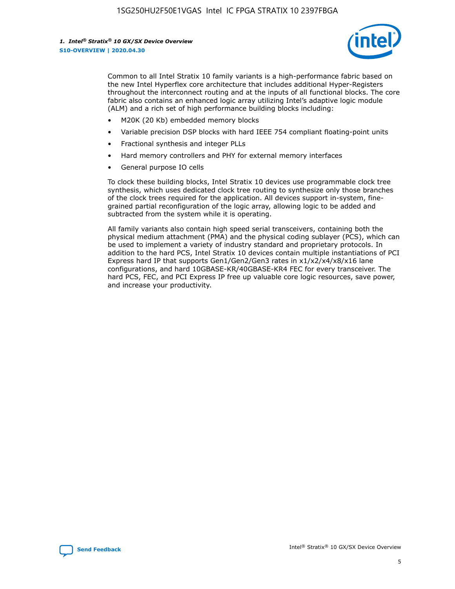

Common to all Intel Stratix 10 family variants is a high-performance fabric based on the new Intel Hyperflex core architecture that includes additional Hyper-Registers throughout the interconnect routing and at the inputs of all functional blocks. The core fabric also contains an enhanced logic array utilizing Intel's adaptive logic module (ALM) and a rich set of high performance building blocks including:

- M20K (20 Kb) embedded memory blocks
- Variable precision DSP blocks with hard IEEE 754 compliant floating-point units
- Fractional synthesis and integer PLLs
- Hard memory controllers and PHY for external memory interfaces
- General purpose IO cells

To clock these building blocks, Intel Stratix 10 devices use programmable clock tree synthesis, which uses dedicated clock tree routing to synthesize only those branches of the clock trees required for the application. All devices support in-system, finegrained partial reconfiguration of the logic array, allowing logic to be added and subtracted from the system while it is operating.

All family variants also contain high speed serial transceivers, containing both the physical medium attachment (PMA) and the physical coding sublayer (PCS), which can be used to implement a variety of industry standard and proprietary protocols. In addition to the hard PCS, Intel Stratix 10 devices contain multiple instantiations of PCI Express hard IP that supports Gen1/Gen2/Gen3 rates in x1/x2/x4/x8/x16 lane configurations, and hard 10GBASE-KR/40GBASE-KR4 FEC for every transceiver. The hard PCS, FEC, and PCI Express IP free up valuable core logic resources, save power, and increase your productivity.

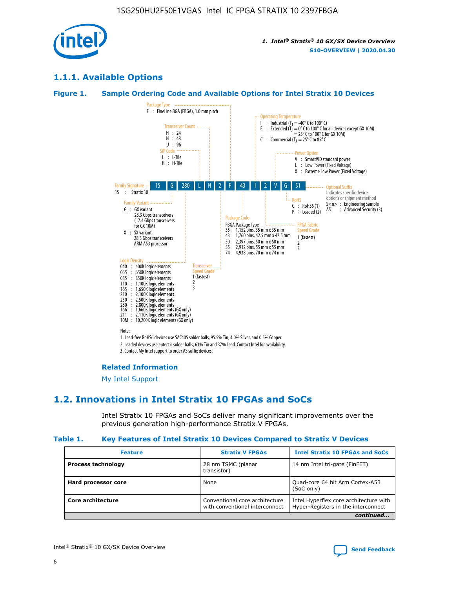

### **1.1.1. Available Options**

### **Figure 1. Sample Ordering Code and Available Options for Intel Stratix 10 Devices**



3. Contact My Intel support to order AS suffix devices.

#### **Related Information**

[My Intel Support](https://www.intel.com/content/www/us/en/programmable/my-intel/mal-home.html)

### **1.2. Innovations in Intel Stratix 10 FPGAs and SoCs**

Intel Stratix 10 FPGAs and SoCs deliver many significant improvements over the previous generation high-performance Stratix V FPGAs.

#### **Table 1. Key Features of Intel Stratix 10 Devices Compared to Stratix V Devices**

| <b>Feature</b>            | <b>Stratix V FPGAs</b>                                           | <b>Intel Stratix 10 FPGAs and SoCs</b>                                        |  |
|---------------------------|------------------------------------------------------------------|-------------------------------------------------------------------------------|--|
| <b>Process technology</b> | 28 nm TSMC (planar<br>transistor)                                | 14 nm Intel tri-gate (FinFET)                                                 |  |
| Hard processor core       | None                                                             | Quad-core 64 bit Arm Cortex-A53<br>(SoC only)                                 |  |
| Core architecture         | Conventional core architecture<br>with conventional interconnect | Intel Hyperflex core architecture with<br>Hyper-Registers in the interconnect |  |
|                           |                                                                  | continued                                                                     |  |

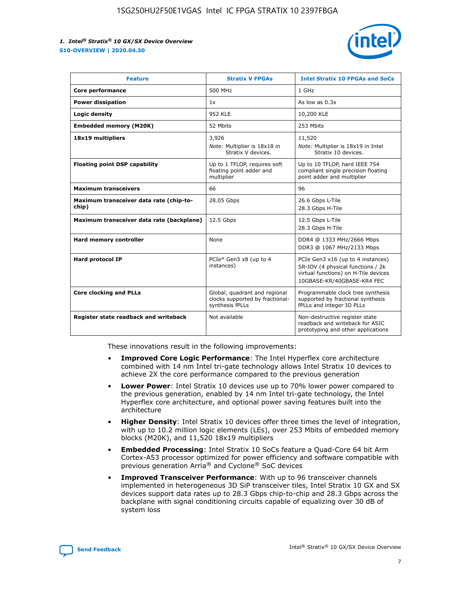

| <b>Feature</b>                                   | <b>Stratix V FPGAs</b>                                                              | <b>Intel Stratix 10 FPGAs and SoCs</b>                                                                                                       |
|--------------------------------------------------|-------------------------------------------------------------------------------------|----------------------------------------------------------------------------------------------------------------------------------------------|
| Core performance                                 | 500 MHz                                                                             | 1 GHz                                                                                                                                        |
| <b>Power dissipation</b>                         | 1x                                                                                  | As low as $0.3x$                                                                                                                             |
| Logic density                                    | <b>952 KLE</b>                                                                      | 10,200 KLE                                                                                                                                   |
| <b>Embedded memory (M20K)</b>                    | 52 Mbits                                                                            | 253 Mbits                                                                                                                                    |
| 18x19 multipliers                                | 3,926                                                                               | 11,520                                                                                                                                       |
|                                                  | Note: Multiplier is 18x18 in<br>Stratix V devices.                                  | Note: Multiplier is 18x19 in Intel<br>Stratix 10 devices.                                                                                    |
| <b>Floating point DSP capability</b>             | Up to 1 TFLOP, requires soft<br>floating point adder and<br>multiplier              | Up to 10 TFLOP, hard IEEE 754<br>compliant single precision floating<br>point adder and multiplier                                           |
| <b>Maximum transceivers</b>                      | 66                                                                                  | 96                                                                                                                                           |
| Maximum transceiver data rate (chip-to-<br>chip) | 28.05 Gbps                                                                          | 26.6 Gbps L-Tile<br>28.3 Gbps H-Tile                                                                                                         |
| Maximum transceiver data rate (backplane)        | 12.5 Gbps                                                                           | 12.5 Gbps L-Tile<br>28.3 Gbps H-Tile                                                                                                         |
| Hard memory controller                           | None                                                                                | DDR4 @ 1333 MHz/2666 Mbps<br>DDR3 @ 1067 MHz/2133 Mbps                                                                                       |
| Hard protocol IP                                 | PCIe* Gen3 x8 (up to 4<br>instances)                                                | PCIe Gen3 x16 (up to 4 instances)<br>SR-IOV (4 physical functions / 2k<br>virtual functions) on H-Tile devices<br>10GBASE-KR/40GBASE-KR4 FEC |
| <b>Core clocking and PLLs</b>                    | Global, quadrant and regional<br>clocks supported by fractional-<br>synthesis fPLLs | Programmable clock tree synthesis<br>supported by fractional synthesis<br>fPLLs and integer IO PLLs                                          |
| Register state readback and writeback            | Not available                                                                       | Non-destructive register state<br>readback and writeback for ASIC<br>prototyping and other applications                                      |

These innovations result in the following improvements:

- **Improved Core Logic Performance**: The Intel Hyperflex core architecture combined with 14 nm Intel tri-gate technology allows Intel Stratix 10 devices to achieve 2X the core performance compared to the previous generation
- **Lower Power**: Intel Stratix 10 devices use up to 70% lower power compared to the previous generation, enabled by 14 nm Intel tri-gate technology, the Intel Hyperflex core architecture, and optional power saving features built into the architecture
- **Higher Density**: Intel Stratix 10 devices offer three times the level of integration, with up to 10.2 million logic elements (LEs), over 253 Mbits of embedded memory blocks (M20K), and 11,520 18x19 multipliers
- **Embedded Processing**: Intel Stratix 10 SoCs feature a Quad-Core 64 bit Arm Cortex-A53 processor optimized for power efficiency and software compatible with previous generation Arria® and Cyclone® SoC devices
- **Improved Transceiver Performance**: With up to 96 transceiver channels implemented in heterogeneous 3D SiP transceiver tiles, Intel Stratix 10 GX and SX devices support data rates up to 28.3 Gbps chip-to-chip and 28.3 Gbps across the backplane with signal conditioning circuits capable of equalizing over 30 dB of system loss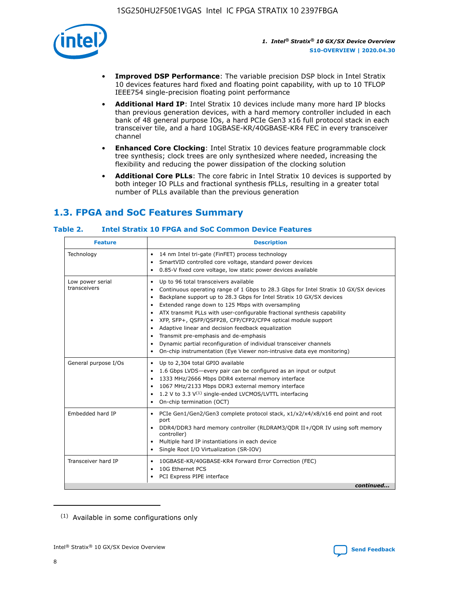

- **Improved DSP Performance**: The variable precision DSP block in Intel Stratix 10 devices features hard fixed and floating point capability, with up to 10 TFLOP IEEE754 single-precision floating point performance
- **Additional Hard IP**: Intel Stratix 10 devices include many more hard IP blocks than previous generation devices, with a hard memory controller included in each bank of 48 general purpose IOs, a hard PCIe Gen3 x16 full protocol stack in each transceiver tile, and a hard 10GBASE-KR/40GBASE-KR4 FEC in every transceiver channel
- **Enhanced Core Clocking**: Intel Stratix 10 devices feature programmable clock tree synthesis; clock trees are only synthesized where needed, increasing the flexibility and reducing the power dissipation of the clocking solution
- **Additional Core PLLs**: The core fabric in Intel Stratix 10 devices is supported by both integer IO PLLs and fractional synthesis fPLLs, resulting in a greater total number of PLLs available than the previous generation

## **1.3. FPGA and SoC Features Summary**

### **Table 2. Intel Stratix 10 FPGA and SoC Common Device Features**

| <b>Feature</b>                   | <b>Description</b>                                                                                                                                                                                                                                                                                                                                                                                                                                                                                                                                                                                                                                                                                                                                   |
|----------------------------------|------------------------------------------------------------------------------------------------------------------------------------------------------------------------------------------------------------------------------------------------------------------------------------------------------------------------------------------------------------------------------------------------------------------------------------------------------------------------------------------------------------------------------------------------------------------------------------------------------------------------------------------------------------------------------------------------------------------------------------------------------|
| Technology                       | 14 nm Intel tri-gate (FinFET) process technology<br>٠<br>SmartVID controlled core voltage, standard power devices<br>0.85-V fixed core voltage, low static power devices available                                                                                                                                                                                                                                                                                                                                                                                                                                                                                                                                                                   |
| Low power serial<br>transceivers | Up to 96 total transceivers available<br>$\bullet$<br>Continuous operating range of 1 Gbps to 28.3 Gbps for Intel Stratix 10 GX/SX devices<br>$\bullet$<br>Backplane support up to 28.3 Gbps for Intel Stratix 10 GX/SX devices<br>$\bullet$<br>Extended range down to 125 Mbps with oversampling<br>$\bullet$<br>ATX transmit PLLs with user-configurable fractional synthesis capability<br>$\bullet$<br>• XFP, SFP+, OSFP/OSFP28, CFP/CFP2/CFP4 optical module support<br>• Adaptive linear and decision feedback equalization<br>Transmit pre-emphasis and de-emphasis<br>Dynamic partial reconfiguration of individual transceiver channels<br>$\bullet$<br>On-chip instrumentation (Eye Viewer non-intrusive data eye monitoring)<br>$\bullet$ |
| General purpose I/Os             | Up to 2,304 total GPIO available<br>$\bullet$<br>1.6 Gbps LVDS-every pair can be configured as an input or output<br>$\bullet$<br>1333 MHz/2666 Mbps DDR4 external memory interface<br>1067 MHz/2133 Mbps DDR3 external memory interface<br>1.2 V to 3.3 $V^{(1)}$ single-ended LVCMOS/LVTTL interfacing<br>$\bullet$<br>On-chip termination (OCT)<br>$\bullet$                                                                                                                                                                                                                                                                                                                                                                                      |
| Embedded hard IP                 | • PCIe Gen1/Gen2/Gen3 complete protocol stack, $x1/x2/x4/x8/x16$ end point and root<br>port<br>DDR4/DDR3 hard memory controller (RLDRAM3/QDR II+/QDR IV using soft memory<br>controller)<br>Multiple hard IP instantiations in each device<br>$\bullet$<br>• Single Root I/O Virtualization (SR-IOV)                                                                                                                                                                                                                                                                                                                                                                                                                                                 |
| Transceiver hard IP              | 10GBASE-KR/40GBASE-KR4 Forward Error Correction (FEC)<br>$\bullet$<br>10G Ethernet PCS<br>$\bullet$<br>• PCI Express PIPE interface<br>continued                                                                                                                                                                                                                                                                                                                                                                                                                                                                                                                                                                                                     |

<sup>(1)</sup> Available in some configurations only

8

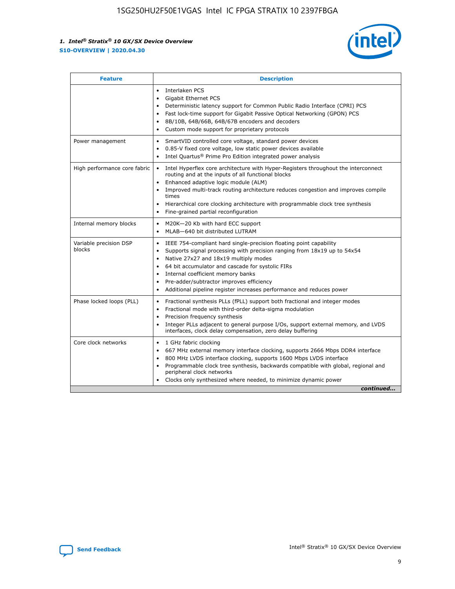

| <b>Feature</b>                   | <b>Description</b>                                                                                                                                                                                                                                                                                                                                                                                                                                                         |  |  |  |
|----------------------------------|----------------------------------------------------------------------------------------------------------------------------------------------------------------------------------------------------------------------------------------------------------------------------------------------------------------------------------------------------------------------------------------------------------------------------------------------------------------------------|--|--|--|
|                                  | Interlaken PCS<br>$\bullet$<br>Gigabit Ethernet PCS<br>$\bullet$<br>Deterministic latency support for Common Public Radio Interface (CPRI) PCS<br>$\bullet$<br>Fast lock-time support for Gigabit Passive Optical Networking (GPON) PCS<br>8B/10B, 64B/66B, 64B/67B encoders and decoders<br>$\bullet$<br>Custom mode support for proprietary protocols<br>$\bullet$                                                                                                       |  |  |  |
| Power management                 | SmartVID controlled core voltage, standard power devices<br>$\bullet$<br>0.85-V fixed core voltage, low static power devices available<br>$\bullet$<br>Intel Quartus <sup>®</sup> Prime Pro Edition integrated power analysis                                                                                                                                                                                                                                              |  |  |  |
| High performance core fabric     | Intel Hyperflex core architecture with Hyper-Registers throughout the interconnect<br>$\bullet$<br>routing and at the inputs of all functional blocks<br>Enhanced adaptive logic module (ALM)<br>$\bullet$<br>Improved multi-track routing architecture reduces congestion and improves compile<br>times<br>Hierarchical core clocking architecture with programmable clock tree synthesis<br>$\bullet$<br>Fine-grained partial reconfiguration                            |  |  |  |
| Internal memory blocks           | M20K-20 Kb with hard ECC support<br>٠<br>MLAB-640 bit distributed LUTRAM<br>$\bullet$                                                                                                                                                                                                                                                                                                                                                                                      |  |  |  |
| Variable precision DSP<br>blocks | IEEE 754-compliant hard single-precision floating point capability<br>$\bullet$<br>Supports signal processing with precision ranging from 18x19 up to 54x54<br>$\bullet$<br>Native 27x27 and 18x19 multiply modes<br>٠<br>64 bit accumulator and cascade for systolic FIRs<br>$\bullet$<br>Internal coefficient memory banks<br>Pre-adder/subtractor improves efficiency<br>$\bullet$<br>Additional pipeline register increases performance and reduces power<br>$\bullet$ |  |  |  |
| Phase locked loops (PLL)         | Fractional synthesis PLLs (fPLL) support both fractional and integer modes<br>$\bullet$<br>Fractional mode with third-order delta-sigma modulation<br>Precision frequency synthesis<br>$\bullet$<br>Integer PLLs adjacent to general purpose I/Os, support external memory, and LVDS<br>$\bullet$<br>interfaces, clock delay compensation, zero delay buffering                                                                                                            |  |  |  |
| Core clock networks              | 1 GHz fabric clocking<br>$\bullet$<br>667 MHz external memory interface clocking, supports 2666 Mbps DDR4 interface<br>$\bullet$<br>800 MHz LVDS interface clocking, supports 1600 Mbps LVDS interface<br>$\bullet$<br>Programmable clock tree synthesis, backwards compatible with global, regional and<br>$\bullet$<br>peripheral clock networks<br>Clocks only synthesized where needed, to minimize dynamic power<br>continued                                         |  |  |  |

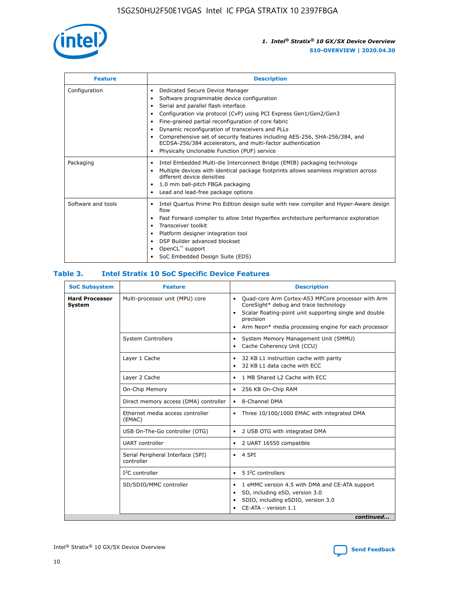

| <b>Feature</b>     | <b>Description</b>                                                                                                                                                                                                                                                                                                                                                                                                                                                                                                                                                   |
|--------------------|----------------------------------------------------------------------------------------------------------------------------------------------------------------------------------------------------------------------------------------------------------------------------------------------------------------------------------------------------------------------------------------------------------------------------------------------------------------------------------------------------------------------------------------------------------------------|
| Configuration      | Dedicated Secure Device Manager<br>$\bullet$<br>Software programmable device configuration<br>٠<br>Serial and parallel flash interface<br>٠<br>Configuration via protocol (CvP) using PCI Express Gen1/Gen2/Gen3<br>٠<br>Fine-grained partial reconfiguration of core fabric<br>$\bullet$<br>Dynamic reconfiguration of transceivers and PLLs<br>$\bullet$<br>Comprehensive set of security features including AES-256, SHA-256/384, and<br>ECDSA-256/384 accelerators, and multi-factor authentication<br>Physically Unclonable Function (PUF) service<br>$\bullet$ |
| Packaging          | Intel Embedded Multi-die Interconnect Bridge (EMIB) packaging technology<br>٠<br>Multiple devices with identical package footprints allows seamless migration across<br>$\bullet$<br>different device densities<br>1.0 mm ball-pitch FBGA packaging<br>$\bullet$<br>Lead and lead-free package options                                                                                                                                                                                                                                                               |
| Software and tools | Intel Quartus Prime Pro Edition design suite with new compiler and Hyper-Aware design<br>flow<br>Fast Forward compiler to allow Intel Hyperflex architecture performance exploration<br>$\bullet$<br>Transceiver toolkit<br>$\bullet$<br>Platform designer integration tool<br>DSP Builder advanced blockset<br>OpenCL <sup>™</sup> support<br>SoC Embedded Design Suite (EDS)                                                                                                                                                                                       |

### **Table 3. Intel Stratix 10 SoC Specific Device Features**

| <b>Hard Processor</b><br>Multi-processor unit (MPU) core<br>Quad-core Arm Cortex-A53 MPCore processor with Arm<br>$\bullet$<br>CoreSight* debug and trace technology<br><b>System</b><br>Scalar floating-point unit supporting single and double<br>$\bullet$<br>precision<br>Arm Neon* media processing engine for each processor<br>$\bullet$<br><b>System Controllers</b><br>System Memory Management Unit (SMMU)<br>$\bullet$<br>Cache Coherency Unit (CCU)<br>$\bullet$<br>Layer 1 Cache<br>32 KB L1 instruction cache with parity<br>$\bullet$<br>32 KB L1 data cache with ECC<br>$\bullet$<br>Layer 2 Cache<br>1 MB Shared L2 Cache with ECC<br>$\bullet$<br>On-Chip Memory<br>256 KB On-Chip RAM<br>٠<br>Direct memory access (DMA) controller<br>8-Channel DMA<br>$\bullet$<br>Ethernet media access controller<br>Three 10/100/1000 EMAC with integrated DMA<br>$\bullet$<br>(EMAC)<br>USB On-The-Go controller (OTG)<br>2 USB OTG with integrated DMA<br>$\bullet$<br><b>UART</b> controller<br>2 UART 16550 compatible<br>$\bullet$<br>Serial Peripheral Interface (SPI)<br>4 SPI<br>$\bullet$<br>controller<br>$I2C$ controller<br>5 <sup>2</sup> C controllers<br>$\bullet$<br>SD/SDIO/MMC controller<br>1 eMMC version 4.5 with DMA and CE-ATA support<br>$\bullet$<br>SD, including eSD, version 3.0<br>$\bullet$<br>SDIO, including eSDIO, version 3.0<br>$\bullet$<br>CE-ATA - version 1.1 | <b>SoC Subsystem</b> | <b>Feature</b> | <b>Description</b> |
|--------------------------------------------------------------------------------------------------------------------------------------------------------------------------------------------------------------------------------------------------------------------------------------------------------------------------------------------------------------------------------------------------------------------------------------------------------------------------------------------------------------------------------------------------------------------------------------------------------------------------------------------------------------------------------------------------------------------------------------------------------------------------------------------------------------------------------------------------------------------------------------------------------------------------------------------------------------------------------------------------------------------------------------------------------------------------------------------------------------------------------------------------------------------------------------------------------------------------------------------------------------------------------------------------------------------------------------------------------------------------------------------------------------|----------------------|----------------|--------------------|
|                                                                                                                                                                                                                                                                                                                                                                                                                                                                                                                                                                                                                                                                                                                                                                                                                                                                                                                                                                                                                                                                                                                                                                                                                                                                                                                                                                                                              |                      |                |                    |
|                                                                                                                                                                                                                                                                                                                                                                                                                                                                                                                                                                                                                                                                                                                                                                                                                                                                                                                                                                                                                                                                                                                                                                                                                                                                                                                                                                                                              |                      |                |                    |
|                                                                                                                                                                                                                                                                                                                                                                                                                                                                                                                                                                                                                                                                                                                                                                                                                                                                                                                                                                                                                                                                                                                                                                                                                                                                                                                                                                                                              |                      |                |                    |
|                                                                                                                                                                                                                                                                                                                                                                                                                                                                                                                                                                                                                                                                                                                                                                                                                                                                                                                                                                                                                                                                                                                                                                                                                                                                                                                                                                                                              |                      |                |                    |
|                                                                                                                                                                                                                                                                                                                                                                                                                                                                                                                                                                                                                                                                                                                                                                                                                                                                                                                                                                                                                                                                                                                                                                                                                                                                                                                                                                                                              |                      |                |                    |
|                                                                                                                                                                                                                                                                                                                                                                                                                                                                                                                                                                                                                                                                                                                                                                                                                                                                                                                                                                                                                                                                                                                                                                                                                                                                                                                                                                                                              |                      |                |                    |
|                                                                                                                                                                                                                                                                                                                                                                                                                                                                                                                                                                                                                                                                                                                                                                                                                                                                                                                                                                                                                                                                                                                                                                                                                                                                                                                                                                                                              |                      |                |                    |
|                                                                                                                                                                                                                                                                                                                                                                                                                                                                                                                                                                                                                                                                                                                                                                                                                                                                                                                                                                                                                                                                                                                                                                                                                                                                                                                                                                                                              |                      |                |                    |
|                                                                                                                                                                                                                                                                                                                                                                                                                                                                                                                                                                                                                                                                                                                                                                                                                                                                                                                                                                                                                                                                                                                                                                                                                                                                                                                                                                                                              |                      |                |                    |
|                                                                                                                                                                                                                                                                                                                                                                                                                                                                                                                                                                                                                                                                                                                                                                                                                                                                                                                                                                                                                                                                                                                                                                                                                                                                                                                                                                                                              |                      |                |                    |
|                                                                                                                                                                                                                                                                                                                                                                                                                                                                                                                                                                                                                                                                                                                                                                                                                                                                                                                                                                                                                                                                                                                                                                                                                                                                                                                                                                                                              |                      |                |                    |
| continued                                                                                                                                                                                                                                                                                                                                                                                                                                                                                                                                                                                                                                                                                                                                                                                                                                                                                                                                                                                                                                                                                                                                                                                                                                                                                                                                                                                                    |                      |                |                    |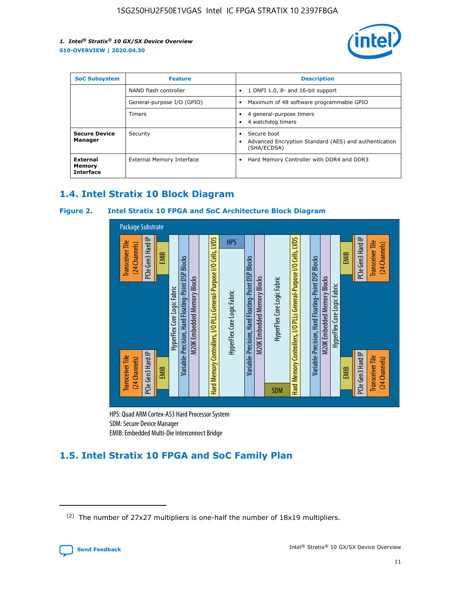

| <b>SoC Subsystem</b>                   | <b>Feature</b>             | <b>Description</b>                                                                                    |  |  |
|----------------------------------------|----------------------------|-------------------------------------------------------------------------------------------------------|--|--|
|                                        | NAND flash controller      | 1 ONFI 1.0, 8- and 16-bit support<br>$\bullet$                                                        |  |  |
|                                        | General-purpose I/O (GPIO) | Maximum of 48 software programmable GPIO<br>$\bullet$                                                 |  |  |
|                                        | Timers                     | 4 general-purpose timers<br>4 watchdog timers<br>٠                                                    |  |  |
| <b>Secure Device</b><br>Manager        | Security                   | Secure boot<br>$\bullet$<br>Advanced Encryption Standard (AES) and authentication<br>٠<br>(SHA/ECDSA) |  |  |
| External<br>Memory<br><b>Interface</b> | External Memory Interface  | Hard Memory Controller with DDR4 and DDR3<br>$\bullet$                                                |  |  |

### **1.4. Intel Stratix 10 Block Diagram**

### **Figure 2. Intel Stratix 10 FPGA and SoC Architecture Block Diagram**



HPS: Quad ARM Cortex-A53 Hard Processor System SDM: Secure Device Manager

## **1.5. Intel Stratix 10 FPGA and SoC Family Plan**

<sup>(2)</sup> The number of 27x27 multipliers is one-half the number of 18x19 multipliers.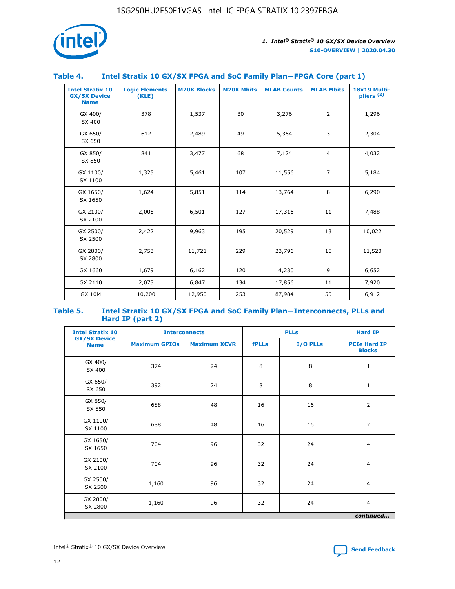

### **Table 4. Intel Stratix 10 GX/SX FPGA and SoC Family Plan—FPGA Core (part 1)**

| <b>Intel Stratix 10</b><br><b>GX/SX Device</b><br><b>Name</b> | <b>Logic Elements</b><br>(KLE) | <b>M20K Blocks</b> | <b>M20K Mbits</b> | <b>MLAB Counts</b> | <b>MLAB Mbits</b> | 18x19 Multi-<br>pliers <sup>(2)</sup> |
|---------------------------------------------------------------|--------------------------------|--------------------|-------------------|--------------------|-------------------|---------------------------------------|
| GX 400/<br>SX 400                                             | 378                            | 1,537              | 30                | 3,276              | $\overline{2}$    | 1,296                                 |
| GX 650/<br>SX 650                                             | 612                            | 2,489              | 49                | 5,364              | 3                 | 2,304                                 |
| GX 850/<br>SX 850                                             | 841                            | 3,477              | 68                | 7,124              | $\overline{4}$    | 4,032                                 |
| GX 1100/<br>SX 1100                                           | 1,325                          | 5,461              | 107               | 11,556             | $\overline{7}$    | 5,184                                 |
| GX 1650/<br>SX 1650                                           | 1,624                          | 5,851              | 114               | 13,764             | 8                 | 6,290                                 |
| GX 2100/<br>SX 2100                                           | 2,005                          | 6,501              | 127               | 17,316             | 11                | 7,488                                 |
| GX 2500/<br>SX 2500                                           | 2,422                          | 9,963              | 195               | 20,529             | 13                | 10,022                                |
| GX 2800/<br>SX 2800                                           | 2,753                          | 11,721             | 229               | 23,796             | 15                | 11,520                                |
| GX 1660                                                       | 1,679                          | 6,162              | 120               | 14,230             | 9                 | 6,652                                 |
| GX 2110                                                       | 2,073                          | 6,847              | 134               | 17,856             | 11                | 7,920                                 |
| <b>GX 10M</b>                                                 | 10,200                         | 12,950             | 253               | 87,984             | 55                | 6,912                                 |

#### **Table 5. Intel Stratix 10 GX/SX FPGA and SoC Family Plan—Interconnects, PLLs and Hard IP (part 2)**

| <b>Intel Stratix 10</b>            | <b>Interconnects</b> |                     | <b>PLLs</b>  |          | <b>Hard IP</b>                       |  |
|------------------------------------|----------------------|---------------------|--------------|----------|--------------------------------------|--|
| <b>GX/SX Device</b><br><b>Name</b> | <b>Maximum GPIOs</b> | <b>Maximum XCVR</b> | <b>fPLLs</b> | I/O PLLs | <b>PCIe Hard IP</b><br><b>Blocks</b> |  |
| GX 400/<br>SX 400                  | 374                  | 24                  | 8            | 8        | $\mathbf{1}$                         |  |
| GX 650/<br>SX 650                  | 392                  | 24                  | 8            | 8        | $\mathbf{1}$                         |  |
| GX 850/<br>SX 850                  | 688                  | 48                  | 16           | 16       | 2                                    |  |
| GX 1100/<br>SX 1100                | 688                  | 48                  | 16           | 16       | 2                                    |  |
| GX 1650/<br>SX 1650                | 704                  | 96                  | 32           | 24       | $\overline{4}$                       |  |
| GX 2100/<br>SX 2100                | 704                  | 96                  | 32           | 24       | $\overline{4}$                       |  |
| GX 2500/<br>SX 2500                | 1,160                | 96                  | 32           | 24       | $\overline{4}$                       |  |
| GX 2800/<br>SX 2800                | 1,160                | 96                  | 32           | 24       | $\overline{4}$                       |  |
| continued                          |                      |                     |              |          |                                      |  |

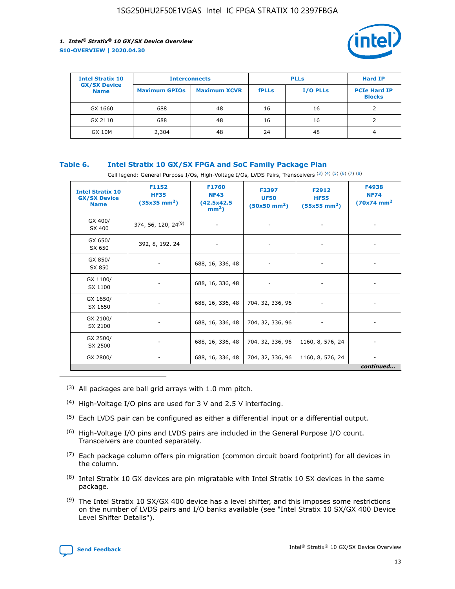

| <b>Intel Stratix 10</b>            | <b>Interconnects</b> |                     | <b>PLLs</b>  |                 | <b>Hard IP</b>                       |
|------------------------------------|----------------------|---------------------|--------------|-----------------|--------------------------------------|
| <b>GX/SX Device</b><br><b>Name</b> | <b>Maximum GPIOs</b> | <b>Maximum XCVR</b> | <b>fPLLs</b> | <b>I/O PLLs</b> | <b>PCIe Hard IP</b><br><b>Blocks</b> |
| GX 1660                            | 688                  | 48                  | 16           | 16              |                                      |
| GX 2110                            | 688                  | 48                  | 16           | 16              |                                      |
| <b>GX 10M</b>                      | 2,304                | 48                  | 24           | 48              | 4                                    |

### **Table 6. Intel Stratix 10 GX/SX FPGA and SoC Family Package Plan**

Cell legend: General Purpose I/Os, High-Voltage I/Os, LVDS Pairs, Transceivers (3) (4) (5) (6) (7) (8)

| <b>Intel Stratix 10</b><br><b>GX/SX Device</b><br><b>Name</b> | F1152<br><b>HF35</b><br>$(35x35 \text{ mm}^2)$ | <b>F1760</b><br><b>NF43</b><br>(42.5x42.5<br>$mm2$ ) | F2397<br><b>UF50</b><br>$(50x50 \text{ mm}^2)$ | F2912<br><b>HF55</b><br>$(55x55 \text{ mm}^2)$ | F4938<br><b>NF74</b><br>$(70x74)$ mm <sup>2</sup> |
|---------------------------------------------------------------|------------------------------------------------|------------------------------------------------------|------------------------------------------------|------------------------------------------------|---------------------------------------------------|
| GX 400/<br>SX 400                                             | 374, 56, 120, 24 <sup>(9)</sup>                | $\overline{\phantom{a}}$                             | $\overline{\phantom{a}}$                       |                                                |                                                   |
| GX 650/<br>SX 650                                             | 392, 8, 192, 24                                | ٠                                                    | $\overline{\phantom{a}}$                       |                                                |                                                   |
| GX 850/<br>SX 850                                             |                                                | 688, 16, 336, 48                                     |                                                |                                                |                                                   |
| GX 1100/<br>SX 1100                                           |                                                | 688, 16, 336, 48                                     |                                                |                                                |                                                   |
| GX 1650/<br>SX 1650                                           |                                                | 688, 16, 336, 48                                     | 704, 32, 336, 96                               |                                                |                                                   |
| GX 2100/<br>SX 2100                                           |                                                | 688, 16, 336, 48                                     | 704, 32, 336, 96                               | -                                              | ۰                                                 |
| GX 2500/<br>SX 2500                                           |                                                | 688, 16, 336, 48                                     | 704, 32, 336, 96                               | 1160, 8, 576, 24                               |                                                   |
| GX 2800/                                                      | $\overline{\phantom{a}}$                       | 688, 16, 336, 48                                     | 704, 32, 336, 96                               | 1160, 8, 576, 24                               | ٠<br>continued                                    |

- (3) All packages are ball grid arrays with 1.0 mm pitch.
- (4) High-Voltage I/O pins are used for 3 V and 2.5 V interfacing.
- $(5)$  Each LVDS pair can be configured as either a differential input or a differential output.
- (6) High-Voltage I/O pins and LVDS pairs are included in the General Purpose I/O count. Transceivers are counted separately.
- $(7)$  Each package column offers pin migration (common circuit board footprint) for all devices in the column.
- $(8)$  Intel Stratix 10 GX devices are pin migratable with Intel Stratix 10 SX devices in the same package.
- $(9)$  The Intel Stratix 10 SX/GX 400 device has a level shifter, and this imposes some restrictions on the number of LVDS pairs and I/O banks available (see "Intel Stratix 10 SX/GX 400 Device Level Shifter Details").

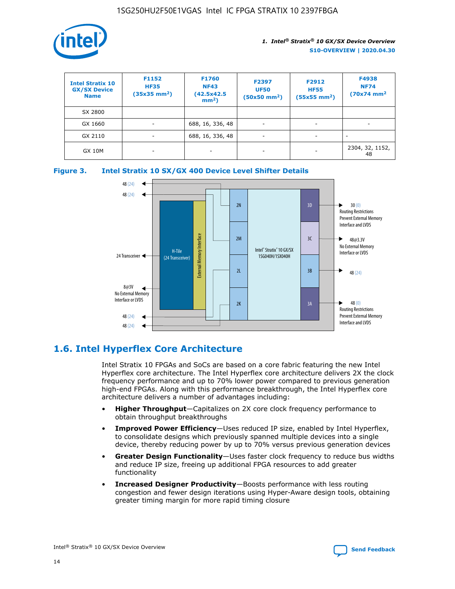

| <b>Intel Stratix 10</b><br><b>GX/SX Device</b><br><b>Name</b> | F1152<br><b>HF35</b><br>$(35x35)$ mm <sup>2</sup> ) | F1760<br><b>NF43</b><br>(42.5x42.5<br>$mm2$ ) | F2397<br><b>UF50</b><br>$(50x50 \text{ mm}^2)$ | F2912<br><b>HF55</b><br>$(55x55$ mm <sup>2</sup> ) | F4938<br><b>NF74</b><br>$(70x74)$ mm <sup>2</sup> |
|---------------------------------------------------------------|-----------------------------------------------------|-----------------------------------------------|------------------------------------------------|----------------------------------------------------|---------------------------------------------------|
| SX 2800                                                       |                                                     |                                               |                                                |                                                    |                                                   |
| GX 1660                                                       | -                                                   | 688, 16, 336, 48                              | $\overline{\phantom{a}}$                       |                                                    |                                                   |
| GX 2110                                                       |                                                     | 688, 16, 336, 48                              | $\overline{\phantom{a}}$                       |                                                    |                                                   |
| <b>GX 10M</b>                                                 | ۰                                                   |                                               |                                                |                                                    | 2304, 32, 1152,<br>48                             |





### **1.6. Intel Hyperflex Core Architecture**

Intel Stratix 10 FPGAs and SoCs are based on a core fabric featuring the new Intel Hyperflex core architecture. The Intel Hyperflex core architecture delivers 2X the clock frequency performance and up to 70% lower power compared to previous generation high-end FPGAs. Along with this performance breakthrough, the Intel Hyperflex core architecture delivers a number of advantages including:

- **Higher Throughput**—Capitalizes on 2X core clock frequency performance to obtain throughput breakthroughs
- **Improved Power Efficiency**—Uses reduced IP size, enabled by Intel Hyperflex, to consolidate designs which previously spanned multiple devices into a single device, thereby reducing power by up to 70% versus previous generation devices
- **Greater Design Functionality**—Uses faster clock frequency to reduce bus widths and reduce IP size, freeing up additional FPGA resources to add greater functionality
- **Increased Designer Productivity**—Boosts performance with less routing congestion and fewer design iterations using Hyper-Aware design tools, obtaining greater timing margin for more rapid timing closure

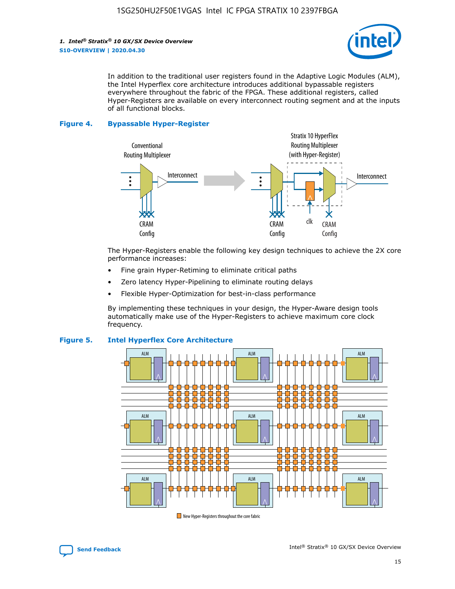

In addition to the traditional user registers found in the Adaptive Logic Modules (ALM), the Intel Hyperflex core architecture introduces additional bypassable registers everywhere throughout the fabric of the FPGA. These additional registers, called Hyper-Registers are available on every interconnect routing segment and at the inputs of all functional blocks.

#### **Figure 4. Bypassable Hyper-Register**



The Hyper-Registers enable the following key design techniques to achieve the 2X core performance increases:

- Fine grain Hyper-Retiming to eliminate critical paths
- Zero latency Hyper-Pipelining to eliminate routing delays
- Flexible Hyper-Optimization for best-in-class performance

By implementing these techniques in your design, the Hyper-Aware design tools automatically make use of the Hyper-Registers to achieve maximum core clock frequency.



### **Figure 5. Intel Hyperflex Core Architecture**

New Hyper-Registers throughout the core fabric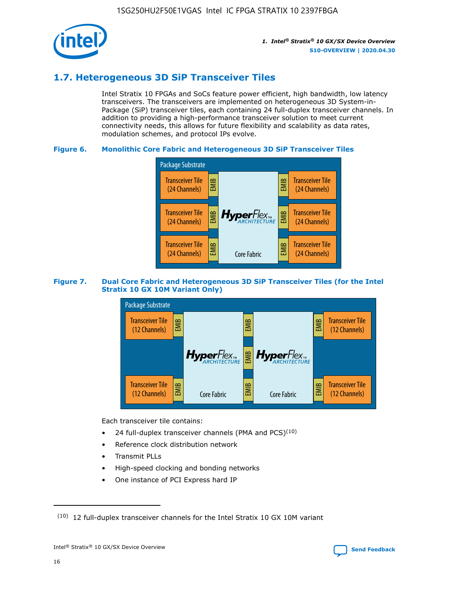

### **1.7. Heterogeneous 3D SiP Transceiver Tiles**

Intel Stratix 10 FPGAs and SoCs feature power efficient, high bandwidth, low latency transceivers. The transceivers are implemented on heterogeneous 3D System-in-Package (SiP) transceiver tiles, each containing 24 full-duplex transceiver channels. In addition to providing a high-performance transceiver solution to meet current connectivity needs, this allows for future flexibility and scalability as data rates, modulation schemes, and protocol IPs evolve.

### **Figure 6. Monolithic Core Fabric and Heterogeneous 3D SiP Transceiver Tiles**



### **Figure 7. Dual Core Fabric and Heterogeneous 3D SiP Transceiver Tiles (for the Intel Stratix 10 GX 10M Variant Only)**



Each transceiver tile contains:

- 24 full-duplex transceiver channels (PMA and PCS) $(10)$
- Reference clock distribution network
- Transmit PLLs
- High-speed clocking and bonding networks
- One instance of PCI Express hard IP

 $(10)$  12 full-duplex transceiver channels for the Intel Stratix 10 GX 10M variant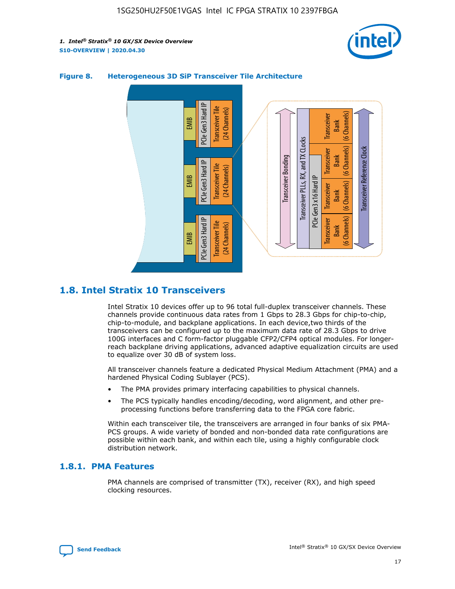



### **Figure 8. Heterogeneous 3D SiP Transceiver Tile Architecture**

### **1.8. Intel Stratix 10 Transceivers**

Intel Stratix 10 devices offer up to 96 total full-duplex transceiver channels. These channels provide continuous data rates from 1 Gbps to 28.3 Gbps for chip-to-chip, chip-to-module, and backplane applications. In each device,two thirds of the transceivers can be configured up to the maximum data rate of 28.3 Gbps to drive 100G interfaces and C form-factor pluggable CFP2/CFP4 optical modules. For longerreach backplane driving applications, advanced adaptive equalization circuits are used to equalize over 30 dB of system loss.

All transceiver channels feature a dedicated Physical Medium Attachment (PMA) and a hardened Physical Coding Sublayer (PCS).

- The PMA provides primary interfacing capabilities to physical channels.
- The PCS typically handles encoding/decoding, word alignment, and other preprocessing functions before transferring data to the FPGA core fabric.

Within each transceiver tile, the transceivers are arranged in four banks of six PMA-PCS groups. A wide variety of bonded and non-bonded data rate configurations are possible within each bank, and within each tile, using a highly configurable clock distribution network.

### **1.8.1. PMA Features**

PMA channels are comprised of transmitter (TX), receiver (RX), and high speed clocking resources.

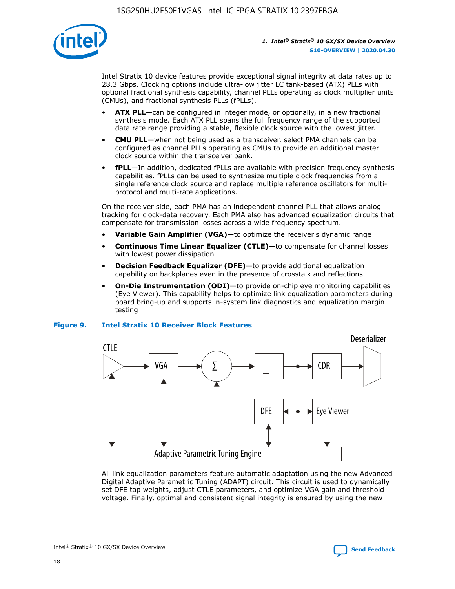

Intel Stratix 10 device features provide exceptional signal integrity at data rates up to 28.3 Gbps. Clocking options include ultra-low jitter LC tank-based (ATX) PLLs with optional fractional synthesis capability, channel PLLs operating as clock multiplier units (CMUs), and fractional synthesis PLLs (fPLLs).

- **ATX PLL**—can be configured in integer mode, or optionally, in a new fractional synthesis mode. Each ATX PLL spans the full frequency range of the supported data rate range providing a stable, flexible clock source with the lowest jitter.
- **CMU PLL**—when not being used as a transceiver, select PMA channels can be configured as channel PLLs operating as CMUs to provide an additional master clock source within the transceiver bank.
- **fPLL**—In addition, dedicated fPLLs are available with precision frequency synthesis capabilities. fPLLs can be used to synthesize multiple clock frequencies from a single reference clock source and replace multiple reference oscillators for multiprotocol and multi-rate applications.

On the receiver side, each PMA has an independent channel PLL that allows analog tracking for clock-data recovery. Each PMA also has advanced equalization circuits that compensate for transmission losses across a wide frequency spectrum.

- **Variable Gain Amplifier (VGA)**—to optimize the receiver's dynamic range
- **Continuous Time Linear Equalizer (CTLE)**—to compensate for channel losses with lowest power dissipation
- **Decision Feedback Equalizer (DFE)**—to provide additional equalization capability on backplanes even in the presence of crosstalk and reflections
- **On-Die Instrumentation (ODI)**—to provide on-chip eye monitoring capabilities (Eye Viewer). This capability helps to optimize link equalization parameters during board bring-up and supports in-system link diagnostics and equalization margin testing

#### **Figure 9. Intel Stratix 10 Receiver Block Features**



All link equalization parameters feature automatic adaptation using the new Advanced Digital Adaptive Parametric Tuning (ADAPT) circuit. This circuit is used to dynamically set DFE tap weights, adjust CTLE parameters, and optimize VGA gain and threshold voltage. Finally, optimal and consistent signal integrity is ensured by using the new

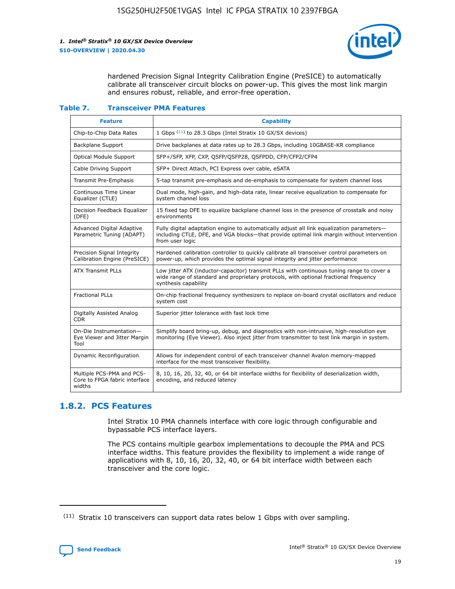

hardened Precision Signal Integrity Calibration Engine (PreSICE) to automatically calibrate all transceiver circuit blocks on power-up. This gives the most link margin and ensures robust, reliable, and error-free operation.

#### **Table 7. Transceiver PMA Features**

| <b>Feature</b>                                                       | <b>Capability</b>                                                                                                                                                                                         |
|----------------------------------------------------------------------|-----------------------------------------------------------------------------------------------------------------------------------------------------------------------------------------------------------|
| Chip-to-Chip Data Rates                                              | 1 Gbps (11) to 28.3 Gbps (Intel Stratix 10 GX/SX devices)                                                                                                                                                 |
| <b>Backplane Support</b>                                             | Drive backplanes at data rates up to 28.3 Gbps, including 10GBASE-KR compliance                                                                                                                           |
| Optical Module Support                                               | SFP+/SFP, XFP, CXP, QSFP/QSFP28, QSFPDD, CFP/CFP2/CFP4                                                                                                                                                    |
| Cable Driving Support                                                | SFP+ Direct Attach, PCI Express over cable, eSATA                                                                                                                                                         |
| <b>Transmit Pre-Emphasis</b>                                         | 5-tap transmit pre-emphasis and de-emphasis to compensate for system channel loss                                                                                                                         |
| Continuous Time Linear<br>Equalizer (CTLE)                           | Dual mode, high-gain, and high-data rate, linear receive equalization to compensate for<br>system channel loss                                                                                            |
| Decision Feedback Equalizer<br>(DFE)                                 | 15 fixed tap DFE to equalize backplane channel loss in the presence of crosstalk and noisy<br>environments                                                                                                |
| Advanced Digital Adaptive<br>Parametric Tuning (ADAPT)               | Fully digital adaptation engine to automatically adjust all link equalization parameters-<br>including CTLE, DFE, and VGA blocks-that provide optimal link margin without intervention<br>from user logic |
| Precision Signal Integrity<br>Calibration Engine (PreSICE)           | Hardened calibration controller to quickly calibrate all transceiver control parameters on<br>power-up, which provides the optimal signal integrity and jitter performance                                |
| <b>ATX Transmit PLLs</b>                                             | Low jitter ATX (inductor-capacitor) transmit PLLs with continuous tuning range to cover a<br>wide range of standard and proprietary protocols, with optional fractional frequency<br>synthesis capability |
| <b>Fractional PLLs</b>                                               | On-chip fractional frequency synthesizers to replace on-board crystal oscillators and reduce<br>system cost                                                                                               |
| Digitally Assisted Analog<br>CDR.                                    | Superior jitter tolerance with fast lock time                                                                                                                                                             |
| On-Die Instrumentation-<br>Eye Viewer and Jitter Margin<br>Tool      | Simplify board bring-up, debug, and diagnostics with non-intrusive, high-resolution eye<br>monitoring (Eye Viewer). Also inject jitter from transmitter to test link margin in system.                    |
| Dynamic Reconfiguration                                              | Allows for independent control of each transceiver channel Avalon memory-mapped<br>interface for the most transceiver flexibility.                                                                        |
| Multiple PCS-PMA and PCS-<br>Core to FPGA fabric interface<br>widths | 8, 10, 16, 20, 32, 40, or 64 bit interface widths for flexibility of deserialization width,<br>encoding, and reduced latency                                                                              |

### **1.8.2. PCS Features**

Intel Stratix 10 PMA channels interface with core logic through configurable and bypassable PCS interface layers.

The PCS contains multiple gearbox implementations to decouple the PMA and PCS interface widths. This feature provides the flexibility to implement a wide range of applications with 8, 10, 16, 20, 32, 40, or 64 bit interface width between each transceiver and the core logic.

<sup>(11)</sup> Stratix 10 transceivers can support data rates below 1 Gbps with over sampling.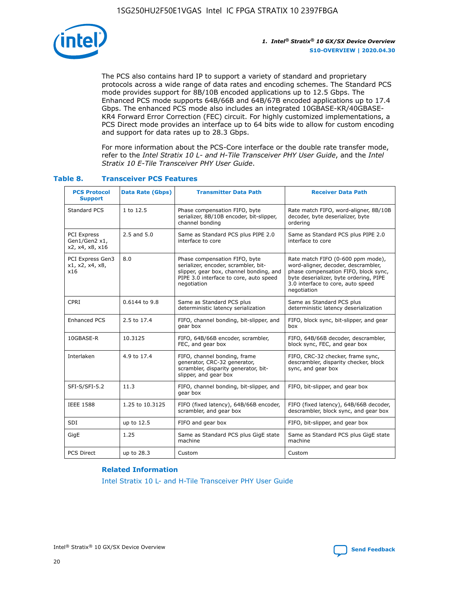

The PCS also contains hard IP to support a variety of standard and proprietary protocols across a wide range of data rates and encoding schemes. The Standard PCS mode provides support for 8B/10B encoded applications up to 12.5 Gbps. The Enhanced PCS mode supports 64B/66B and 64B/67B encoded applications up to 17.4 Gbps. The enhanced PCS mode also includes an integrated 10GBASE-KR/40GBASE-KR4 Forward Error Correction (FEC) circuit. For highly customized implementations, a PCS Direct mode provides an interface up to 64 bits wide to allow for custom encoding and support for data rates up to 28.3 Gbps.

For more information about the PCS-Core interface or the double rate transfer mode, refer to the *Intel Stratix 10 L- and H-Tile Transceiver PHY User Guide*, and the *Intel Stratix 10 E-Tile Transceiver PHY User Guide*.

| <b>PCS Protocol</b><br><b>Support</b>           | <b>Data Rate (Gbps)</b> | <b>Transmitter Data Path</b>                                                                                                                                              | <b>Receiver Data Path</b>                                                                                                                                                                                      |
|-------------------------------------------------|-------------------------|---------------------------------------------------------------------------------------------------------------------------------------------------------------------------|----------------------------------------------------------------------------------------------------------------------------------------------------------------------------------------------------------------|
| Standard PCS                                    | 1 to 12.5               | Phase compensation FIFO, byte<br>serializer, 8B/10B encoder, bit-slipper,<br>channel bonding                                                                              | Rate match FIFO, word-aligner, 8B/10B<br>decoder, byte deserializer, byte<br>ordering                                                                                                                          |
| PCI Express<br>Gen1/Gen2 x1,<br>x2, x4, x8, x16 | $2.5$ and $5.0$         | Same as Standard PCS plus PIPE 2.0<br>interface to core                                                                                                                   | Same as Standard PCS plus PIPE 2.0<br>interface to core                                                                                                                                                        |
| PCI Express Gen3<br>x1, x2, x4, x8,<br>x16      | 8.0                     | Phase compensation FIFO, byte<br>serializer, encoder, scrambler, bit-<br>slipper, gear box, channel bonding, and<br>PIPE 3.0 interface to core, auto speed<br>negotiation | Rate match FIFO (0-600 ppm mode),<br>word-aligner, decoder, descrambler,<br>phase compensation FIFO, block sync,<br>byte deserializer, byte ordering, PIPE<br>3.0 interface to core, auto speed<br>negotiation |
| CPRI                                            | 0.6144 to 9.8           | Same as Standard PCS plus<br>deterministic latency serialization                                                                                                          | Same as Standard PCS plus<br>deterministic latency deserialization                                                                                                                                             |
| <b>Enhanced PCS</b>                             | 2.5 to 17.4             | FIFO, channel bonding, bit-slipper, and<br>gear box                                                                                                                       | FIFO, block sync, bit-slipper, and gear<br>box                                                                                                                                                                 |
| 10GBASE-R                                       | 10.3125                 | FIFO, 64B/66B encoder, scrambler,<br>FEC, and gear box                                                                                                                    | FIFO, 64B/66B decoder, descrambler,<br>block sync, FEC, and gear box                                                                                                                                           |
| Interlaken                                      | 4.9 to 17.4             | FIFO, channel bonding, frame<br>generator, CRC-32 generator,<br>scrambler, disparity generator, bit-<br>slipper, and gear box                                             | FIFO, CRC-32 checker, frame sync,<br>descrambler, disparity checker, block<br>sync, and gear box                                                                                                               |
| SFI-S/SFI-5.2                                   | 11.3                    | FIFO, channel bonding, bit-slipper, and<br>gear box                                                                                                                       | FIFO, bit-slipper, and gear box                                                                                                                                                                                |
| <b>IEEE 1588</b>                                | 1.25 to 10.3125         | FIFO (fixed latency), 64B/66B encoder,<br>scrambler, and gear box                                                                                                         | FIFO (fixed latency), 64B/66B decoder,<br>descrambler, block sync, and gear box                                                                                                                                |
| SDI                                             | up to 12.5              | FIFO and gear box                                                                                                                                                         | FIFO, bit-slipper, and gear box                                                                                                                                                                                |
| GigE                                            | 1.25                    | Same as Standard PCS plus GigE state<br>machine                                                                                                                           | Same as Standard PCS plus GigE state<br>machine                                                                                                                                                                |
| <b>PCS Direct</b>                               | up to 28.3              | Custom                                                                                                                                                                    | Custom                                                                                                                                                                                                         |

### **Table 8. Transceiver PCS Features**

#### **Related Information**

[Intel Stratix 10 L- and H-Tile Transceiver PHY User Guide](https://www.altera.com/documentation/wry1479165198810.html)

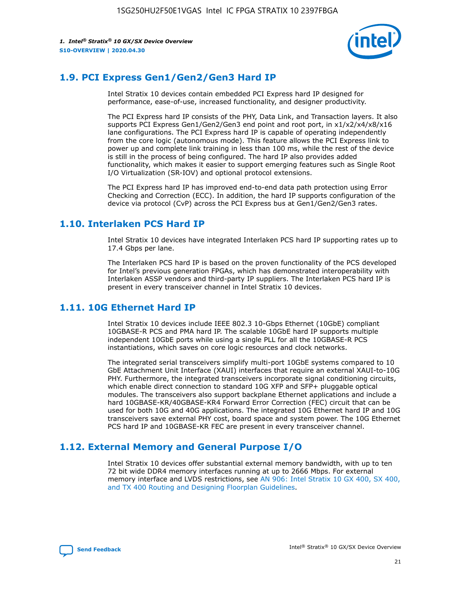

### **1.9. PCI Express Gen1/Gen2/Gen3 Hard IP**

Intel Stratix 10 devices contain embedded PCI Express hard IP designed for performance, ease-of-use, increased functionality, and designer productivity.

The PCI Express hard IP consists of the PHY, Data Link, and Transaction layers. It also supports PCI Express Gen1/Gen2/Gen3 end point and root port, in x1/x2/x4/x8/x16 lane configurations. The PCI Express hard IP is capable of operating independently from the core logic (autonomous mode). This feature allows the PCI Express link to power up and complete link training in less than 100 ms, while the rest of the device is still in the process of being configured. The hard IP also provides added functionality, which makes it easier to support emerging features such as Single Root I/O Virtualization (SR-IOV) and optional protocol extensions.

The PCI Express hard IP has improved end-to-end data path protection using Error Checking and Correction (ECC). In addition, the hard IP supports configuration of the device via protocol (CvP) across the PCI Express bus at Gen1/Gen2/Gen3 rates.

### **1.10. Interlaken PCS Hard IP**

Intel Stratix 10 devices have integrated Interlaken PCS hard IP supporting rates up to 17.4 Gbps per lane.

The Interlaken PCS hard IP is based on the proven functionality of the PCS developed for Intel's previous generation FPGAs, which has demonstrated interoperability with Interlaken ASSP vendors and third-party IP suppliers. The Interlaken PCS hard IP is present in every transceiver channel in Intel Stratix 10 devices.

### **1.11. 10G Ethernet Hard IP**

Intel Stratix 10 devices include IEEE 802.3 10-Gbps Ethernet (10GbE) compliant 10GBASE-R PCS and PMA hard IP. The scalable 10GbE hard IP supports multiple independent 10GbE ports while using a single PLL for all the 10GBASE-R PCS instantiations, which saves on core logic resources and clock networks.

The integrated serial transceivers simplify multi-port 10GbE systems compared to 10 GbE Attachment Unit Interface (XAUI) interfaces that require an external XAUI-to-10G PHY. Furthermore, the integrated transceivers incorporate signal conditioning circuits, which enable direct connection to standard 10G XFP and SFP+ pluggable optical modules. The transceivers also support backplane Ethernet applications and include a hard 10GBASE-KR/40GBASE-KR4 Forward Error Correction (FEC) circuit that can be used for both 10G and 40G applications. The integrated 10G Ethernet hard IP and 10G transceivers save external PHY cost, board space and system power. The 10G Ethernet PCS hard IP and 10GBASE-KR FEC are present in every transceiver channel.

### **1.12. External Memory and General Purpose I/O**

Intel Stratix 10 devices offer substantial external memory bandwidth, with up to ten 72 bit wide DDR4 memory interfaces running at up to 2666 Mbps. For external memory interface and LVDS restrictions, see [AN 906: Intel Stratix 10 GX 400, SX 400,](https://www.intel.com/content/www/us/en/programmable/documentation/sjf1574667190623.html#bft1574667627484) [and TX 400 Routing and Designing Floorplan Guidelines.](https://www.intel.com/content/www/us/en/programmable/documentation/sjf1574667190623.html#bft1574667627484)

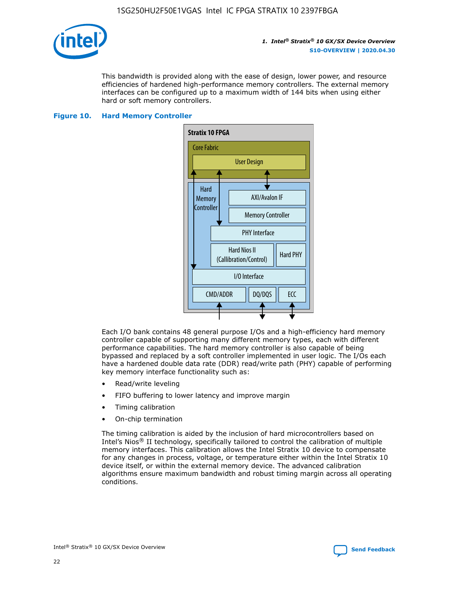

This bandwidth is provided along with the ease of design, lower power, and resource efficiencies of hardened high-performance memory controllers. The external memory interfaces can be configured up to a maximum width of 144 bits when using either hard or soft memory controllers.

#### **Figure 10. Hard Memory Controller**



Each I/O bank contains 48 general purpose I/Os and a high-efficiency hard memory controller capable of supporting many different memory types, each with different performance capabilities. The hard memory controller is also capable of being bypassed and replaced by a soft controller implemented in user logic. The I/Os each have a hardened double data rate (DDR) read/write path (PHY) capable of performing key memory interface functionality such as:

- Read/write leveling
- FIFO buffering to lower latency and improve margin
- Timing calibration
- On-chip termination

The timing calibration is aided by the inclusion of hard microcontrollers based on Intel's Nios® II technology, specifically tailored to control the calibration of multiple memory interfaces. This calibration allows the Intel Stratix 10 device to compensate for any changes in process, voltage, or temperature either within the Intel Stratix 10 device itself, or within the external memory device. The advanced calibration algorithms ensure maximum bandwidth and robust timing margin across all operating conditions.

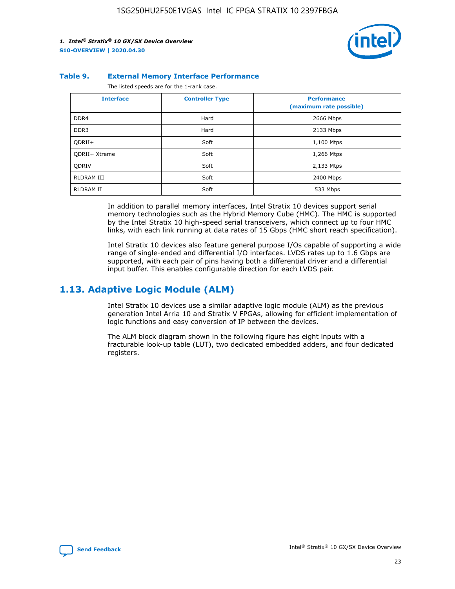

#### **Table 9. External Memory Interface Performance**

The listed speeds are for the 1-rank case.

| <b>Interface</b> | <b>Controller Type</b> | <b>Performance</b><br>(maximum rate possible) |
|------------------|------------------------|-----------------------------------------------|
| DDR4             | Hard                   | 2666 Mbps                                     |
| DDR <sub>3</sub> | Hard                   | 2133 Mbps                                     |
| QDRII+           | Soft                   | 1,100 Mtps                                    |
| QDRII+ Xtreme    | Soft                   | 1,266 Mtps                                    |
| <b>ODRIV</b>     | Soft                   | 2,133 Mtps                                    |
| RLDRAM III       | Soft                   | 2400 Mbps                                     |
| <b>RLDRAM II</b> | Soft                   | 533 Mbps                                      |

In addition to parallel memory interfaces, Intel Stratix 10 devices support serial memory technologies such as the Hybrid Memory Cube (HMC). The HMC is supported by the Intel Stratix 10 high-speed serial transceivers, which connect up to four HMC links, with each link running at data rates of 15 Gbps (HMC short reach specification).

Intel Stratix 10 devices also feature general purpose I/Os capable of supporting a wide range of single-ended and differential I/O interfaces. LVDS rates up to 1.6 Gbps are supported, with each pair of pins having both a differential driver and a differential input buffer. This enables configurable direction for each LVDS pair.

### **1.13. Adaptive Logic Module (ALM)**

Intel Stratix 10 devices use a similar adaptive logic module (ALM) as the previous generation Intel Arria 10 and Stratix V FPGAs, allowing for efficient implementation of logic functions and easy conversion of IP between the devices.

The ALM block diagram shown in the following figure has eight inputs with a fracturable look-up table (LUT), two dedicated embedded adders, and four dedicated registers.

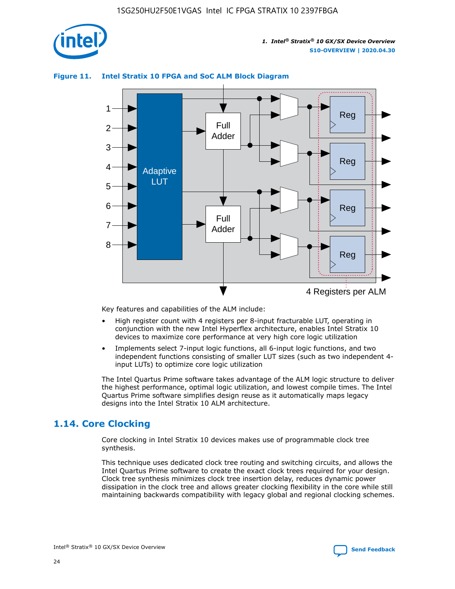

### **Figure 11. Intel Stratix 10 FPGA and SoC ALM Block Diagram**



Key features and capabilities of the ALM include:

- High register count with 4 registers per 8-input fracturable LUT, operating in conjunction with the new Intel Hyperflex architecture, enables Intel Stratix 10 devices to maximize core performance at very high core logic utilization
- Implements select 7-input logic functions, all 6-input logic functions, and two independent functions consisting of smaller LUT sizes (such as two independent 4 input LUTs) to optimize core logic utilization

The Intel Quartus Prime software takes advantage of the ALM logic structure to deliver the highest performance, optimal logic utilization, and lowest compile times. The Intel Quartus Prime software simplifies design reuse as it automatically maps legacy designs into the Intel Stratix 10 ALM architecture.

### **1.14. Core Clocking**

Core clocking in Intel Stratix 10 devices makes use of programmable clock tree synthesis.

This technique uses dedicated clock tree routing and switching circuits, and allows the Intel Quartus Prime software to create the exact clock trees required for your design. Clock tree synthesis minimizes clock tree insertion delay, reduces dynamic power dissipation in the clock tree and allows greater clocking flexibility in the core while still maintaining backwards compatibility with legacy global and regional clocking schemes.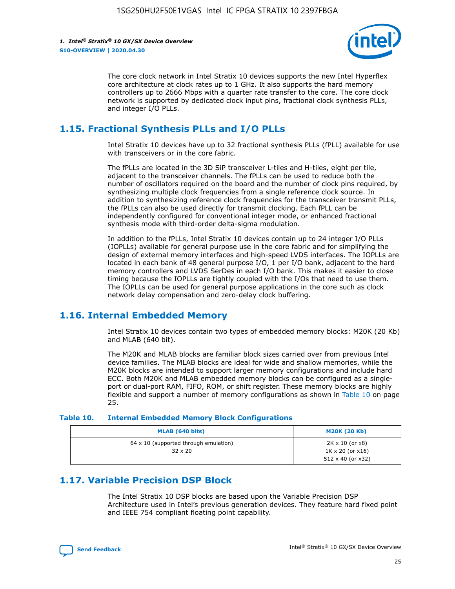

The core clock network in Intel Stratix 10 devices supports the new Intel Hyperflex core architecture at clock rates up to 1 GHz. It also supports the hard memory controllers up to 2666 Mbps with a quarter rate transfer to the core. The core clock network is supported by dedicated clock input pins, fractional clock synthesis PLLs, and integer I/O PLLs.

### **1.15. Fractional Synthesis PLLs and I/O PLLs**

Intel Stratix 10 devices have up to 32 fractional synthesis PLLs (fPLL) available for use with transceivers or in the core fabric.

The fPLLs are located in the 3D SiP transceiver L-tiles and H-tiles, eight per tile, adjacent to the transceiver channels. The fPLLs can be used to reduce both the number of oscillators required on the board and the number of clock pins required, by synthesizing multiple clock frequencies from a single reference clock source. In addition to synthesizing reference clock frequencies for the transceiver transmit PLLs, the fPLLs can also be used directly for transmit clocking. Each fPLL can be independently configured for conventional integer mode, or enhanced fractional synthesis mode with third-order delta-sigma modulation.

In addition to the fPLLs, Intel Stratix 10 devices contain up to 24 integer I/O PLLs (IOPLLs) available for general purpose use in the core fabric and for simplifying the design of external memory interfaces and high-speed LVDS interfaces. The IOPLLs are located in each bank of 48 general purpose I/O, 1 per I/O bank, adjacent to the hard memory controllers and LVDS SerDes in each I/O bank. This makes it easier to close timing because the IOPLLs are tightly coupled with the I/Os that need to use them. The IOPLLs can be used for general purpose applications in the core such as clock network delay compensation and zero-delay clock buffering.

### **1.16. Internal Embedded Memory**

Intel Stratix 10 devices contain two types of embedded memory blocks: M20K (20 Kb) and MLAB (640 bit).

The M20K and MLAB blocks are familiar block sizes carried over from previous Intel device families. The MLAB blocks are ideal for wide and shallow memories, while the M20K blocks are intended to support larger memory configurations and include hard ECC. Both M20K and MLAB embedded memory blocks can be configured as a singleport or dual-port RAM, FIFO, ROM, or shift register. These memory blocks are highly flexible and support a number of memory configurations as shown in Table 10 on page 25.

#### **Table 10. Internal Embedded Memory Block Configurations**

| MLAB (640 bits)                                                | <b>M20K (20 Kb)</b>                                                                    |
|----------------------------------------------------------------|----------------------------------------------------------------------------------------|
| $64 \times 10$ (supported through emulation)<br>$32 \times 20$ | $2K \times 10$ (or $x8$ )<br>$1K \times 20$ (or $x16$ )<br>$512 \times 40$ (or $x32$ ) |

### **1.17. Variable Precision DSP Block**

The Intel Stratix 10 DSP blocks are based upon the Variable Precision DSP Architecture used in Intel's previous generation devices. They feature hard fixed point and IEEE 754 compliant floating point capability.

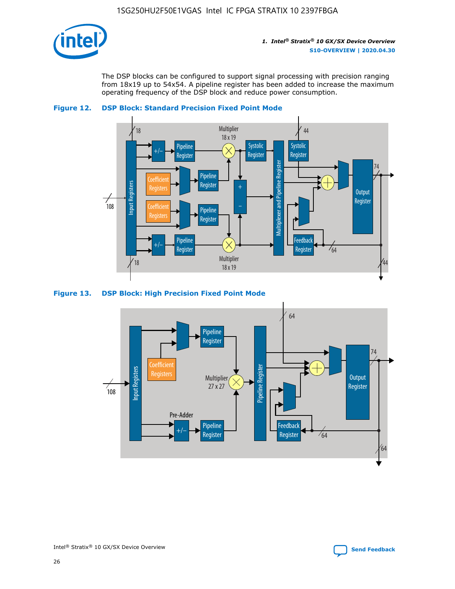

The DSP blocks can be configured to support signal processing with precision ranging from 18x19 up to 54x54. A pipeline register has been added to increase the maximum operating frequency of the DSP block and reduce power consumption.





### **Figure 13. DSP Block: High Precision Fixed Point Mode**



Intel<sup>®</sup> Stratix<sup>®</sup> 10 GX/SX Device Overview **[Send Feedback](mailto:FPGAtechdocfeedback@intel.com?subject=Feedback%20on%20Intel%20Stratix%2010%20GX/SX%20Device%20Overview%20(S10-OVERVIEW%202020.04.30)&body=We%20appreciate%20your%20feedback.%20In%20your%20comments,%20also%20specify%20the%20page%20number%20or%20paragraph.%20Thank%20you.)** Send Feedback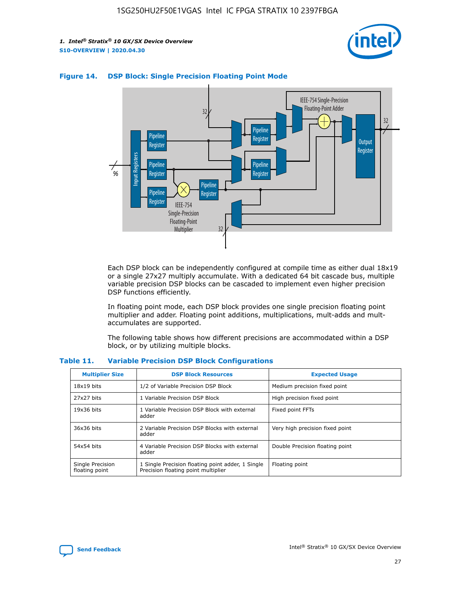



### **Figure 14. DSP Block: Single Precision Floating Point Mode**

Each DSP block can be independently configured at compile time as either dual 18x19 or a single 27x27 multiply accumulate. With a dedicated 64 bit cascade bus, multiple variable precision DSP blocks can be cascaded to implement even higher precision DSP functions efficiently.

In floating point mode, each DSP block provides one single precision floating point multiplier and adder. Floating point additions, multiplications, mult-adds and multaccumulates are supported.

The following table shows how different precisions are accommodated within a DSP block, or by utilizing multiple blocks.

| <b>Multiplier Size</b>             | <b>DSP Block Resources</b>                                                               | <b>Expected Usage</b>           |
|------------------------------------|------------------------------------------------------------------------------------------|---------------------------------|
| $18x19$ bits                       | 1/2 of Variable Precision DSP Block                                                      | Medium precision fixed point    |
| 27x27 bits                         | 1 Variable Precision DSP Block                                                           | High precision fixed point      |
| $19x36$ bits                       | 1 Variable Precision DSP Block with external<br>adder                                    | Fixed point FFTs                |
| 36x36 bits                         | 2 Variable Precision DSP Blocks with external<br>adder                                   | Very high precision fixed point |
| 54x54 bits                         | 4 Variable Precision DSP Blocks with external<br>adder                                   | Double Precision floating point |
| Single Precision<br>floating point | 1 Single Precision floating point adder, 1 Single<br>Precision floating point multiplier | Floating point                  |

#### **Table 11. Variable Precision DSP Block Configurations**

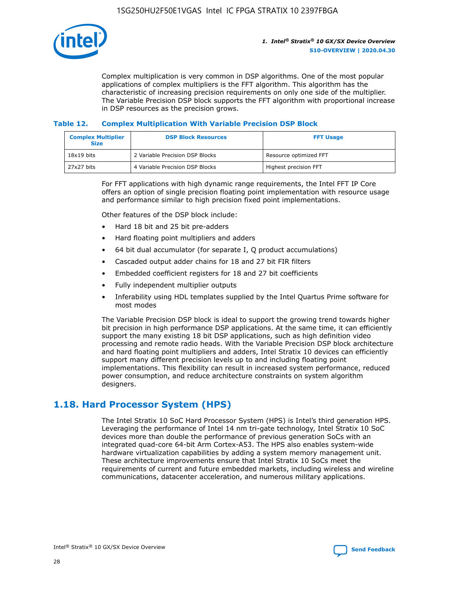

Complex multiplication is very common in DSP algorithms. One of the most popular applications of complex multipliers is the FFT algorithm. This algorithm has the characteristic of increasing precision requirements on only one side of the multiplier. The Variable Precision DSP block supports the FFT algorithm with proportional increase in DSP resources as the precision grows.

### **Table 12. Complex Multiplication With Variable Precision DSP Block**

| <b>Complex Multiplier</b><br><b>Size</b> | <b>DSP Block Resources</b>      | <b>FFT Usage</b>       |
|------------------------------------------|---------------------------------|------------------------|
| $18x19$ bits                             | 2 Variable Precision DSP Blocks | Resource optimized FFT |
| 27x27 bits                               | 4 Variable Precision DSP Blocks | Highest precision FFT  |

For FFT applications with high dynamic range requirements, the Intel FFT IP Core offers an option of single precision floating point implementation with resource usage and performance similar to high precision fixed point implementations.

Other features of the DSP block include:

- Hard 18 bit and 25 bit pre-adders
- Hard floating point multipliers and adders
- 64 bit dual accumulator (for separate I, Q product accumulations)
- Cascaded output adder chains for 18 and 27 bit FIR filters
- Embedded coefficient registers for 18 and 27 bit coefficients
- Fully independent multiplier outputs
- Inferability using HDL templates supplied by the Intel Quartus Prime software for most modes

The Variable Precision DSP block is ideal to support the growing trend towards higher bit precision in high performance DSP applications. At the same time, it can efficiently support the many existing 18 bit DSP applications, such as high definition video processing and remote radio heads. With the Variable Precision DSP block architecture and hard floating point multipliers and adders, Intel Stratix 10 devices can efficiently support many different precision levels up to and including floating point implementations. This flexibility can result in increased system performance, reduced power consumption, and reduce architecture constraints on system algorithm designers.

### **1.18. Hard Processor System (HPS)**

The Intel Stratix 10 SoC Hard Processor System (HPS) is Intel's third generation HPS. Leveraging the performance of Intel 14 nm tri-gate technology, Intel Stratix 10 SoC devices more than double the performance of previous generation SoCs with an integrated quad-core 64-bit Arm Cortex-A53. The HPS also enables system-wide hardware virtualization capabilities by adding a system memory management unit. These architecture improvements ensure that Intel Stratix 10 SoCs meet the requirements of current and future embedded markets, including wireless and wireline communications, datacenter acceleration, and numerous military applications.

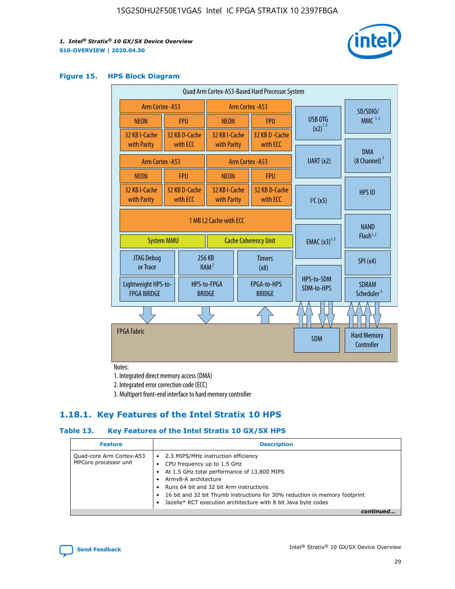

### **Figure 15. HPS Block Diagram**

| Quad Arm Cortex-A53-Based Hard Processor System |                                      |                                                       |                              |                          |                                     |                          |                                        |
|-------------------------------------------------|--------------------------------------|-------------------------------------------------------|------------------------------|--------------------------|-------------------------------------|--------------------------|----------------------------------------|
|                                                 | Arm Cortex - A53<br>Arm Cortex - A53 |                                                       |                              |                          |                                     | SD/SDIO/                 |                                        |
| <b>NEON</b>                                     |                                      | <b>FPU</b>                                            | <b>NEON</b>                  |                          | <b>FPU</b>                          | USB OTG                  | MMC $1,2$                              |
| 32 KB I-Cache<br>with Parity                    |                                      | 32 KB D-Cache<br>with ECC                             | 32 KB I-Cache<br>with Parity |                          | 32 KB D - Cache<br>with ECC         | $(x2)^{1,2}$             |                                        |
| Arm Cortex - A53                                |                                      |                                                       |                              |                          | Arm Cortex - A53                    | UART(x2)                 | <b>DMA</b><br>$(8 \text{ Channel})^2$  |
| <b>NEON</b>                                     |                                      | <b>FPU</b>                                            | <b>NEON</b>                  |                          | <b>FPU</b>                          |                          |                                        |
| 32 KB I-Cache<br>with Parity                    |                                      | 32 KB D-Cache<br>with ECC                             | 32 KB I-Cache<br>with Parity |                          | 32 KB D-Cache<br>with ECC           | I <sup>2</sup> C(x5)     | <b>HPS 10</b>                          |
| <b>System MMU</b>                               |                                      | 1 MB L2 Cache with ECC<br><b>Cache Coherency Unit</b> |                              | <b>EMAC</b> $(x3)^{1,2}$ | <b>NAND</b><br>Flash <sup>1,2</sup> |                          |                                        |
| JTAG Debug<br>or Trace                          |                                      |                                                       | 256 KB<br>RAM <sup>2</sup>   |                          | <b>Timers</b><br>(x8)               |                          | SPI(x4)                                |
| Lightweight HPS-to-<br><b>FPGA BRIDGE</b>       |                                      |                                                       | HPS-to-FPGA<br><b>BRIDGE</b> |                          | FPGA-to-HPS<br><b>BRIDGE</b>        | HPS-to-SDM<br>SDM-to-HPS | <b>SDRAM</b><br>Scheduler <sup>3</sup> |
|                                                 |                                      |                                                       |                              |                          |                                     |                          |                                        |
| <b>FPGA Fabric</b>                              |                                      |                                                       |                              |                          |                                     | <b>SDM</b>               | <b>Hard Memory</b><br>Controller       |

Notes:

1. Integrated direct memory access (DMA)

2. Integrated error correction code (ECC)

3. Multiport front-end interface to hard memory controller

### **1.18.1. Key Features of the Intel Stratix 10 HPS**

### **Table 13. Key Features of the Intel Stratix 10 GX/SX HPS**

| <b>Feature</b>                                    | <b>Description</b>                                                                                                                                                                                                                                                                                                                     |
|---------------------------------------------------|----------------------------------------------------------------------------------------------------------------------------------------------------------------------------------------------------------------------------------------------------------------------------------------------------------------------------------------|
| Quad-core Arm Cortex-A53<br>MPCore processor unit | • 2.3 MIPS/MHz instruction efficiency<br>CPU frequency up to 1.5 GHz<br>At 1.5 GHz total performance of 13,800 MIPS<br>Army8-A architecture<br>Runs 64 bit and 32 bit Arm instructions<br>16 bit and 32 bit Thumb instructions for 30% reduction in memory footprint<br>Jazelle* RCT execution architecture with 8 bit Java byte codes |
|                                                   |                                                                                                                                                                                                                                                                                                                                        |

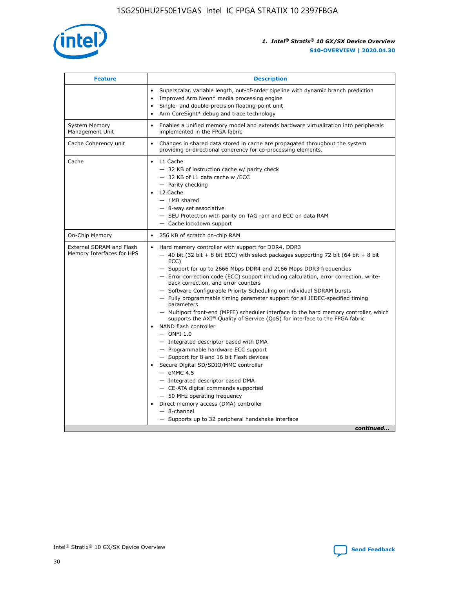

| <b>Feature</b>                                        | <b>Description</b>                                                                                                                                                                                                                                                                                                                                                                                                                                                                                                                                                                                                                                                                                                                                                                                                                                                                                                                                                                                                                                                                                                                                                                                                       |  |
|-------------------------------------------------------|--------------------------------------------------------------------------------------------------------------------------------------------------------------------------------------------------------------------------------------------------------------------------------------------------------------------------------------------------------------------------------------------------------------------------------------------------------------------------------------------------------------------------------------------------------------------------------------------------------------------------------------------------------------------------------------------------------------------------------------------------------------------------------------------------------------------------------------------------------------------------------------------------------------------------------------------------------------------------------------------------------------------------------------------------------------------------------------------------------------------------------------------------------------------------------------------------------------------------|--|
|                                                       | Superscalar, variable length, out-of-order pipeline with dynamic branch prediction<br>Improved Arm Neon* media processing engine<br>$\bullet$<br>Single- and double-precision floating-point unit<br>Arm CoreSight* debug and trace technology                                                                                                                                                                                                                                                                                                                                                                                                                                                                                                                                                                                                                                                                                                                                                                                                                                                                                                                                                                           |  |
| <b>System Memory</b><br>Management Unit               | Enables a unified memory model and extends hardware virtualization into peripherals<br>$\bullet$<br>implemented in the FPGA fabric                                                                                                                                                                                                                                                                                                                                                                                                                                                                                                                                                                                                                                                                                                                                                                                                                                                                                                                                                                                                                                                                                       |  |
| Cache Coherency unit                                  | Changes in shared data stored in cache are propagated throughout the system<br>$\bullet$<br>providing bi-directional coherency for co-processing elements.                                                                                                                                                                                                                                                                                                                                                                                                                                                                                                                                                                                                                                                                                                                                                                                                                                                                                                                                                                                                                                                               |  |
| Cache                                                 | L1 Cache<br>$\bullet$<br>- 32 KB of instruction cache w/ parity check<br>- 32 KB of L1 data cache w /ECC<br>- Parity checking<br>L2 Cache<br>$-$ 1MB shared<br>- 8-way set associative<br>- SEU Protection with parity on TAG ram and ECC on data RAM<br>- Cache lockdown support                                                                                                                                                                                                                                                                                                                                                                                                                                                                                                                                                                                                                                                                                                                                                                                                                                                                                                                                        |  |
| On-Chip Memory                                        | 256 KB of scratch on-chip RAM<br>$\bullet$                                                                                                                                                                                                                                                                                                                                                                                                                                                                                                                                                                                                                                                                                                                                                                                                                                                                                                                                                                                                                                                                                                                                                                               |  |
| External SDRAM and Flash<br>Memory Interfaces for HPS | Hard memory controller with support for DDR4, DDR3<br>$\bullet$<br>$-$ 40 bit (32 bit + 8 bit ECC) with select packages supporting 72 bit (64 bit + 8 bit<br>ECC)<br>- Support for up to 2666 Mbps DDR4 and 2166 Mbps DDR3 frequencies<br>- Error correction code (ECC) support including calculation, error correction, write-<br>back correction, and error counters<br>- Software Configurable Priority Scheduling on individual SDRAM bursts<br>- Fully programmable timing parameter support for all JEDEC-specified timing<br>parameters<br>- Multiport front-end (MPFE) scheduler interface to the hard memory controller, which<br>supports the $AXI^{\circledR}$ Quality of Service (QoS) for interface to the FPGA fabric<br>NAND flash controller<br>$-$ ONFI 1.0<br>- Integrated descriptor based with DMA<br>- Programmable hardware ECC support<br>- Support for 8 and 16 bit Flash devices<br>Secure Digital SD/SDIO/MMC controller<br>$-$ eMMC 4.5<br>- Integrated descriptor based DMA<br>- CE-ATA digital commands supported<br>- 50 MHz operating frequency<br>Direct memory access (DMA) controller<br>$\bullet$<br>$-$ 8-channel<br>- Supports up to 32 peripheral handshake interface<br>continued |  |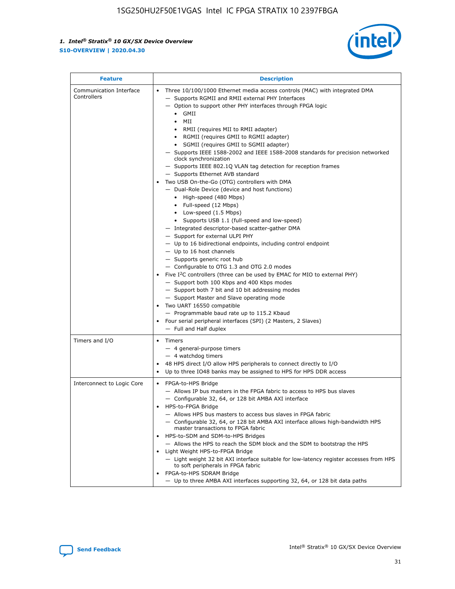

| <b>Feature</b>                         | <b>Description</b>                                                                                                                                                                                                                                                                                                                                                                                                                                                                                                                                                                                                                                                                                                                                                                                                                                                                                                                                                                                                                                                                                                                                                                                                                                                                                                                                                                                                                                                                                |
|----------------------------------------|---------------------------------------------------------------------------------------------------------------------------------------------------------------------------------------------------------------------------------------------------------------------------------------------------------------------------------------------------------------------------------------------------------------------------------------------------------------------------------------------------------------------------------------------------------------------------------------------------------------------------------------------------------------------------------------------------------------------------------------------------------------------------------------------------------------------------------------------------------------------------------------------------------------------------------------------------------------------------------------------------------------------------------------------------------------------------------------------------------------------------------------------------------------------------------------------------------------------------------------------------------------------------------------------------------------------------------------------------------------------------------------------------------------------------------------------------------------------------------------------------|
| Communication Interface<br>Controllers | Three 10/100/1000 Ethernet media access controls (MAC) with integrated DMA<br>- Supports RGMII and RMII external PHY Interfaces<br>- Option to support other PHY interfaces through FPGA logic<br>$\bullet$ GMII<br>MII<br>$\bullet$<br>RMII (requires MII to RMII adapter)<br>• RGMII (requires GMII to RGMII adapter)<br>• SGMII (requires GMII to SGMII adapter)<br>- Supports IEEE 1588-2002 and IEEE 1588-2008 standards for precision networked<br>clock synchronization<br>- Supports IEEE 802.1Q VLAN tag detection for reception frames<br>- Supports Ethernet AVB standard<br>Two USB On-the-Go (OTG) controllers with DMA<br>- Dual-Role Device (device and host functions)<br>• High-speed (480 Mbps)<br>• Full-speed (12 Mbps)<br>• Low-speed (1.5 Mbps)<br>• Supports USB 1.1 (full-speed and low-speed)<br>- Integrated descriptor-based scatter-gather DMA<br>- Support for external ULPI PHY<br>- Up to 16 bidirectional endpoints, including control endpoint<br>$-$ Up to 16 host channels<br>- Supports generic root hub<br>- Configurable to OTG 1.3 and OTG 2.0 modes<br>Five $I^2C$ controllers (three can be used by EMAC for MIO to external PHY)<br>- Support both 100 Kbps and 400 Kbps modes<br>- Support both 7 bit and 10 bit addressing modes<br>- Support Master and Slave operating mode<br>Two UART 16550 compatible<br>- Programmable baud rate up to 115.2 Kbaud<br>• Four serial peripheral interfaces (SPI) (2 Masters, 2 Slaves)<br>- Full and Half duplex |
| Timers and I/O                         | Timers<br>- 4 general-purpose timers<br>$-4$ watchdog timers<br>48 HPS direct I/O allow HPS peripherals to connect directly to I/O<br>Up to three IO48 banks may be assigned to HPS for HPS DDR access                                                                                                                                                                                                                                                                                                                                                                                                                                                                                                                                                                                                                                                                                                                                                                                                                                                                                                                                                                                                                                                                                                                                                                                                                                                                                            |
| Interconnect to Logic Core             | • FPGA-to-HPS Bridge<br>- Allows IP bus masters in the FPGA fabric to access to HPS bus slaves<br>- Configurable 32, 64, or 128 bit AMBA AXI interface<br>HPS-to-FPGA Bridge<br>- Allows HPS bus masters to access bus slaves in FPGA fabric<br>- Configurable 32, 64, or 128 bit AMBA AXI interface allows high-bandwidth HPS<br>master transactions to FPGA fabric<br>HPS-to-SDM and SDM-to-HPS Bridges<br>- Allows the HPS to reach the SDM block and the SDM to bootstrap the HPS<br>Light Weight HPS-to-FPGA Bridge<br>- Light weight 32 bit AXI interface suitable for low-latency register accesses from HPS<br>to soft peripherals in FPGA fabric<br>FPGA-to-HPS SDRAM Bridge<br>- Up to three AMBA AXI interfaces supporting 32, 64, or 128 bit data paths                                                                                                                                                                                                                                                                                                                                                                                                                                                                                                                                                                                                                                                                                                                               |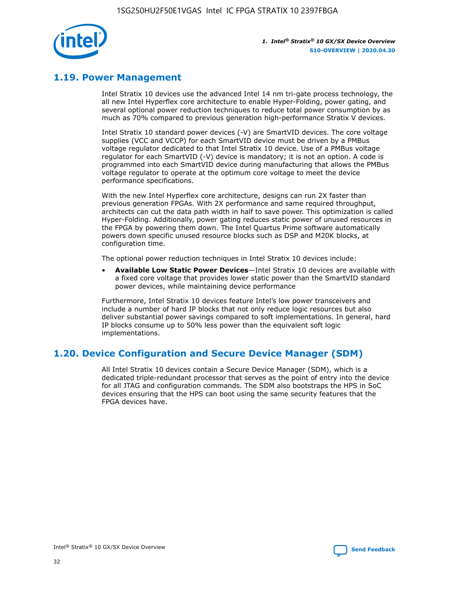

### **1.19. Power Management**

Intel Stratix 10 devices use the advanced Intel 14 nm tri-gate process technology, the all new Intel Hyperflex core architecture to enable Hyper-Folding, power gating, and several optional power reduction techniques to reduce total power consumption by as much as 70% compared to previous generation high-performance Stratix V devices.

Intel Stratix 10 standard power devices (-V) are SmartVID devices. The core voltage supplies (VCC and VCCP) for each SmartVID device must be driven by a PMBus voltage regulator dedicated to that Intel Stratix 10 device. Use of a PMBus voltage regulator for each SmartVID (-V) device is mandatory; it is not an option. A code is programmed into each SmartVID device during manufacturing that allows the PMBus voltage regulator to operate at the optimum core voltage to meet the device performance specifications.

With the new Intel Hyperflex core architecture, designs can run 2X faster than previous generation FPGAs. With 2X performance and same required throughput, architects can cut the data path width in half to save power. This optimization is called Hyper-Folding. Additionally, power gating reduces static power of unused resources in the FPGA by powering them down. The Intel Quartus Prime software automatically powers down specific unused resource blocks such as DSP and M20K blocks, at configuration time.

The optional power reduction techniques in Intel Stratix 10 devices include:

• **Available Low Static Power Devices**—Intel Stratix 10 devices are available with a fixed core voltage that provides lower static power than the SmartVID standard power devices, while maintaining device performance

Furthermore, Intel Stratix 10 devices feature Intel's low power transceivers and include a number of hard IP blocks that not only reduce logic resources but also deliver substantial power savings compared to soft implementations. In general, hard IP blocks consume up to 50% less power than the equivalent soft logic implementations.

### **1.20. Device Configuration and Secure Device Manager (SDM)**

All Intel Stratix 10 devices contain a Secure Device Manager (SDM), which is a dedicated triple-redundant processor that serves as the point of entry into the device for all JTAG and configuration commands. The SDM also bootstraps the HPS in SoC devices ensuring that the HPS can boot using the same security features that the FPGA devices have.

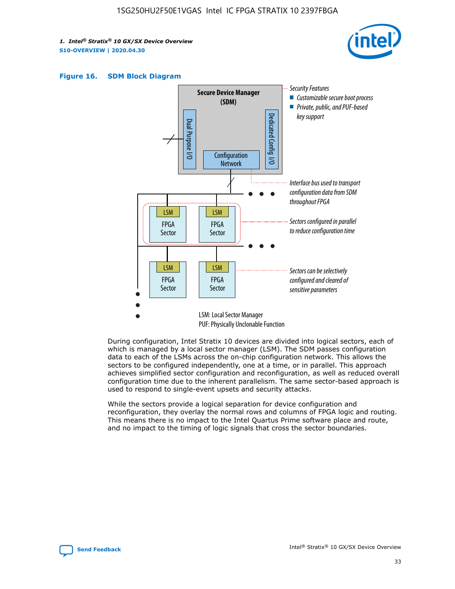





During configuration, Intel Stratix 10 devices are divided into logical sectors, each of which is managed by a local sector manager (LSM). The SDM passes configuration data to each of the LSMs across the on-chip configuration network. This allows the sectors to be configured independently, one at a time, or in parallel. This approach achieves simplified sector configuration and reconfiguration, as well as reduced overall configuration time due to the inherent parallelism. The same sector-based approach is used to respond to single-event upsets and security attacks.

While the sectors provide a logical separation for device configuration and reconfiguration, they overlay the normal rows and columns of FPGA logic and routing. This means there is no impact to the Intel Quartus Prime software place and route, and no impact to the timing of logic signals that cross the sector boundaries.

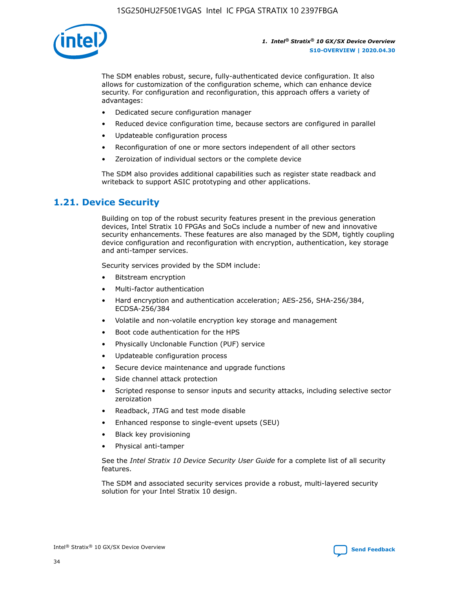

The SDM enables robust, secure, fully-authenticated device configuration. It also allows for customization of the configuration scheme, which can enhance device security. For configuration and reconfiguration, this approach offers a variety of advantages:

- Dedicated secure configuration manager
- Reduced device configuration time, because sectors are configured in parallel
- Updateable configuration process
- Reconfiguration of one or more sectors independent of all other sectors
- Zeroization of individual sectors or the complete device

The SDM also provides additional capabilities such as register state readback and writeback to support ASIC prototyping and other applications.

### **1.21. Device Security**

Building on top of the robust security features present in the previous generation devices, Intel Stratix 10 FPGAs and SoCs include a number of new and innovative security enhancements. These features are also managed by the SDM, tightly coupling device configuration and reconfiguration with encryption, authentication, key storage and anti-tamper services.

Security services provided by the SDM include:

- Bitstream encryption
- Multi-factor authentication
- Hard encryption and authentication acceleration; AES-256, SHA-256/384, ECDSA-256/384
- Volatile and non-volatile encryption key storage and management
- Boot code authentication for the HPS
- Physically Unclonable Function (PUF) service
- Updateable configuration process
- Secure device maintenance and upgrade functions
- Side channel attack protection
- Scripted response to sensor inputs and security attacks, including selective sector zeroization
- Readback, JTAG and test mode disable
- Enhanced response to single-event upsets (SEU)
- Black key provisioning
- Physical anti-tamper

See the *Intel Stratix 10 Device Security User Guide* for a complete list of all security features.

The SDM and associated security services provide a robust, multi-layered security solution for your Intel Stratix 10 design.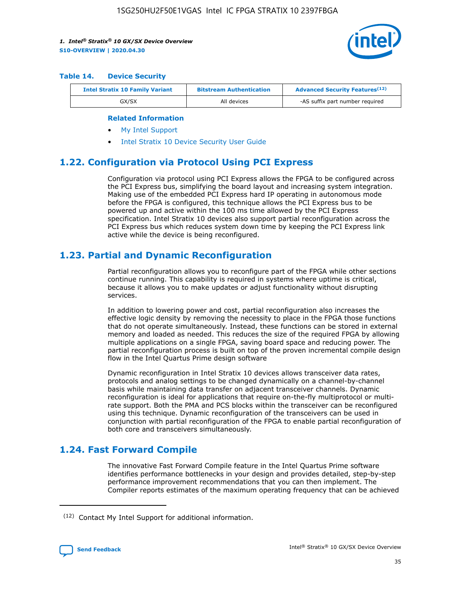

#### **Table 14. Device Security**

| <b>Intel Stratix 10 Family Variant</b> | <b>Bitstream Authentication</b> | <b>Advanced Security Features</b> <sup>(12)</sup> |
|----------------------------------------|---------------------------------|---------------------------------------------------|
| GX/SX                                  | All devices                     | -AS suffix part number required                   |

#### **Related Information**

- [My Intel Support](https://www.intel.com/content/www/us/en/programmable/my-intel/mal-home.html)
- [Intel Stratix 10 Device Security User Guide](https://www.intel.com/content/www/us/en/programmable/documentation/ndq1483601370898.html#wcd1483611014402)

### **1.22. Configuration via Protocol Using PCI Express**

Configuration via protocol using PCI Express allows the FPGA to be configured across the PCI Express bus, simplifying the board layout and increasing system integration. Making use of the embedded PCI Express hard IP operating in autonomous mode before the FPGA is configured, this technique allows the PCI Express bus to be powered up and active within the 100 ms time allowed by the PCI Express specification. Intel Stratix 10 devices also support partial reconfiguration across the PCI Express bus which reduces system down time by keeping the PCI Express link active while the device is being reconfigured.

### **1.23. Partial and Dynamic Reconfiguration**

Partial reconfiguration allows you to reconfigure part of the FPGA while other sections continue running. This capability is required in systems where uptime is critical, because it allows you to make updates or adjust functionality without disrupting services.

In addition to lowering power and cost, partial reconfiguration also increases the effective logic density by removing the necessity to place in the FPGA those functions that do not operate simultaneously. Instead, these functions can be stored in external memory and loaded as needed. This reduces the size of the required FPGA by allowing multiple applications on a single FPGA, saving board space and reducing power. The partial reconfiguration process is built on top of the proven incremental compile design flow in the Intel Quartus Prime design software

Dynamic reconfiguration in Intel Stratix 10 devices allows transceiver data rates, protocols and analog settings to be changed dynamically on a channel-by-channel basis while maintaining data transfer on adjacent transceiver channels. Dynamic reconfiguration is ideal for applications that require on-the-fly multiprotocol or multirate support. Both the PMA and PCS blocks within the transceiver can be reconfigured using this technique. Dynamic reconfiguration of the transceivers can be used in conjunction with partial reconfiguration of the FPGA to enable partial reconfiguration of both core and transceivers simultaneously.

### **1.24. Fast Forward Compile**

The innovative Fast Forward Compile feature in the Intel Quartus Prime software identifies performance bottlenecks in your design and provides detailed, step-by-step performance improvement recommendations that you can then implement. The Compiler reports estimates of the maximum operating frequency that can be achieved

<sup>(12)</sup> Contact My Intel Support for additional information.

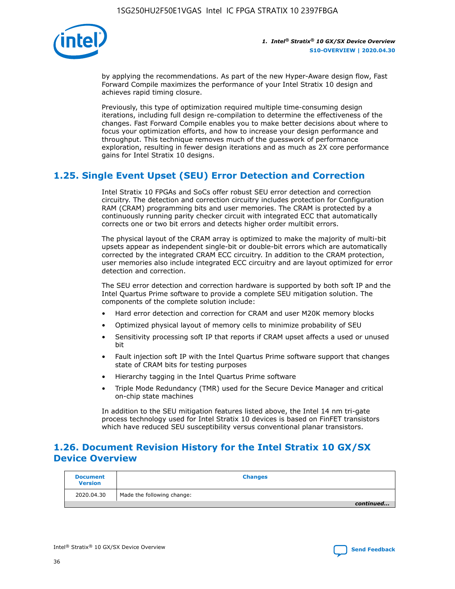

by applying the recommendations. As part of the new Hyper-Aware design flow, Fast Forward Compile maximizes the performance of your Intel Stratix 10 design and achieves rapid timing closure.

Previously, this type of optimization required multiple time-consuming design iterations, including full design re-compilation to determine the effectiveness of the changes. Fast Forward Compile enables you to make better decisions about where to focus your optimization efforts, and how to increase your design performance and throughput. This technique removes much of the guesswork of performance exploration, resulting in fewer design iterations and as much as 2X core performance gains for Intel Stratix 10 designs.

### **1.25. Single Event Upset (SEU) Error Detection and Correction**

Intel Stratix 10 FPGAs and SoCs offer robust SEU error detection and correction circuitry. The detection and correction circuitry includes protection for Configuration RAM (CRAM) programming bits and user memories. The CRAM is protected by a continuously running parity checker circuit with integrated ECC that automatically corrects one or two bit errors and detects higher order multibit errors.

The physical layout of the CRAM array is optimized to make the majority of multi-bit upsets appear as independent single-bit or double-bit errors which are automatically corrected by the integrated CRAM ECC circuitry. In addition to the CRAM protection, user memories also include integrated ECC circuitry and are layout optimized for error detection and correction.

The SEU error detection and correction hardware is supported by both soft IP and the Intel Quartus Prime software to provide a complete SEU mitigation solution. The components of the complete solution include:

- Hard error detection and correction for CRAM and user M20K memory blocks
- Optimized physical layout of memory cells to minimize probability of SEU
- Sensitivity processing soft IP that reports if CRAM upset affects a used or unused bit
- Fault injection soft IP with the Intel Quartus Prime software support that changes state of CRAM bits for testing purposes
- Hierarchy tagging in the Intel Quartus Prime software
- Triple Mode Redundancy (TMR) used for the Secure Device Manager and critical on-chip state machines

In addition to the SEU mitigation features listed above, the Intel 14 nm tri-gate process technology used for Intel Stratix 10 devices is based on FinFET transistors which have reduced SEU susceptibility versus conventional planar transistors.

### **1.26. Document Revision History for the Intel Stratix 10 GX/SX Device Overview**

| <b>Document</b><br><b>Version</b> | <b>Changes</b>             |
|-----------------------------------|----------------------------|
| 2020.04.30                        | Made the following change: |
|                                   | continued                  |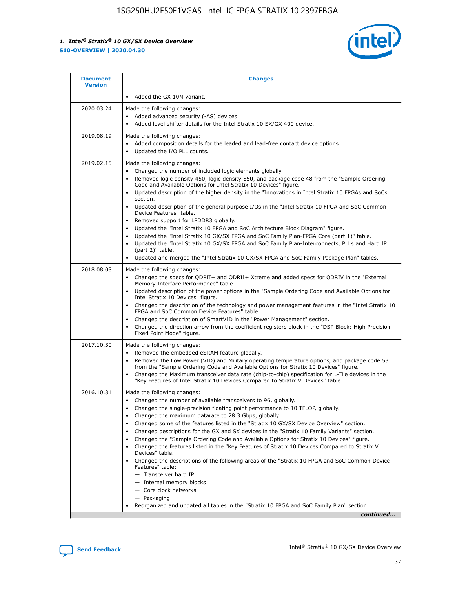

| <b>Document</b><br><b>Version</b> | <b>Changes</b>                                                                                                                                                                                                                                                                                                                                                                                                                                                                                                                                                                                                                                                                                                                                                                                                                                                                                                                                                            |
|-----------------------------------|---------------------------------------------------------------------------------------------------------------------------------------------------------------------------------------------------------------------------------------------------------------------------------------------------------------------------------------------------------------------------------------------------------------------------------------------------------------------------------------------------------------------------------------------------------------------------------------------------------------------------------------------------------------------------------------------------------------------------------------------------------------------------------------------------------------------------------------------------------------------------------------------------------------------------------------------------------------------------|
|                                   | Added the GX 10M variant.<br>$\bullet$                                                                                                                                                                                                                                                                                                                                                                                                                                                                                                                                                                                                                                                                                                                                                                                                                                                                                                                                    |
| 2020.03.24                        | Made the following changes:<br>Added advanced security (-AS) devices.<br>$\bullet$<br>Added level shifter details for the Intel Stratix 10 SX/GX 400 device.                                                                                                                                                                                                                                                                                                                                                                                                                                                                                                                                                                                                                                                                                                                                                                                                              |
| 2019.08.19                        | Made the following changes:<br>Added composition details for the leaded and lead-free contact device options.<br>Updated the I/O PLL counts.                                                                                                                                                                                                                                                                                                                                                                                                                                                                                                                                                                                                                                                                                                                                                                                                                              |
| 2019.02.15                        | Made the following changes:<br>Changed the number of included logic elements globally.<br>٠<br>Removed logic density 450, logic density 550, and package code 48 from the "Sample Ordering<br>$\bullet$<br>Code and Available Options for Intel Stratix 10 Devices" figure.<br>Updated description of the higher density in the "Innovations in Intel Stratix 10 FPGAs and SoCs"<br>section.<br>Updated description of the general purpose I/Os in the "Intel Stratix 10 FPGA and SoC Common<br>$\bullet$<br>Device Features" table.<br>Removed support for LPDDR3 globally.<br>Updated the "Intel Stratix 10 FPGA and SoC Architecture Block Diagram" figure.<br>Updated the "Intel Stratix 10 GX/SX FPGA and SoC Family Plan-FPGA Core (part 1)" table.<br>Updated the "Intel Stratix 10 GX/SX FPGA and SoC Family Plan-Interconnects, PLLs and Hard IP<br>(part 2)" table.<br>Updated and merged the "Intel Stratix 10 GX/SX FPGA and SoC Family Package Plan" tables. |
| 2018.08.08                        | Made the following changes:<br>Changed the specs for QDRII+ and QDRII+ Xtreme and added specs for QDRIV in the "External<br>$\bullet$<br>Memory Interface Performance" table.<br>Updated description of the power options in the "Sample Ordering Code and Available Options for<br>Intel Stratix 10 Devices" figure.<br>Changed the description of the technology and power management features in the "Intel Stratix 10<br>FPGA and SoC Common Device Features" table.<br>Changed the description of SmartVID in the "Power Management" section.<br>Changed the direction arrow from the coefficient registers block in the "DSP Block: High Precision<br>$\bullet$<br>Fixed Point Mode" figure.                                                                                                                                                                                                                                                                        |
| 2017.10.30                        | Made the following changes:<br>Removed the embedded eSRAM feature globally.<br>$\bullet$<br>Removed the Low Power (VID) and Military operating temperature options, and package code 53<br>٠<br>from the "Sample Ordering Code and Available Options for Stratix 10 Devices" figure.<br>Changed the Maximum transceiver data rate (chip-to-chip) specification for L-Tile devices in the<br>"Key Features of Intel Stratix 10 Devices Compared to Stratix V Devices" table.                                                                                                                                                                                                                                                                                                                                                                                                                                                                                               |
| 2016.10.31                        | Made the following changes:<br>Changed the number of available transceivers to 96, globally.<br>Changed the single-precision floating point performance to 10 TFLOP, globally.<br>Changed the maximum datarate to 28.3 Gbps, globally.<br>Changed some of the features listed in the "Stratix 10 GX/SX Device Overview" section.<br>٠<br>Changed descriptions for the GX and SX devices in the "Stratix 10 Family Variants" section.<br>Changed the "Sample Ordering Code and Available Options for Stratix 10 Devices" figure.<br>٠<br>Changed the features listed in the "Key Features of Stratix 10 Devices Compared to Stratix V<br>Devices" table.<br>Changed the descriptions of the following areas of the "Stratix 10 FPGA and SoC Common Device<br>Features" table:<br>- Transceiver hard IP<br>- Internal memory blocks<br>- Core clock networks<br>- Packaging<br>Reorganized and updated all tables in the "Stratix 10 FPGA and SoC Family Plan" section.     |
|                                   | continued                                                                                                                                                                                                                                                                                                                                                                                                                                                                                                                                                                                                                                                                                                                                                                                                                                                                                                                                                                 |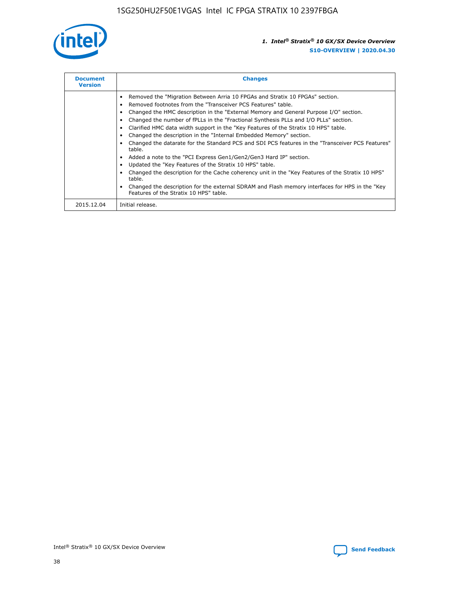

| <b>Document</b><br><b>Version</b> | <b>Changes</b>                                                                                                                                                                                                                                                                                                                                                                                                                                                                                                                                                                                                                                                                                                                                                                                                                                                                                                                                                                                     |  |
|-----------------------------------|----------------------------------------------------------------------------------------------------------------------------------------------------------------------------------------------------------------------------------------------------------------------------------------------------------------------------------------------------------------------------------------------------------------------------------------------------------------------------------------------------------------------------------------------------------------------------------------------------------------------------------------------------------------------------------------------------------------------------------------------------------------------------------------------------------------------------------------------------------------------------------------------------------------------------------------------------------------------------------------------------|--|
|                                   | Removed the "Migration Between Arria 10 FPGAs and Stratix 10 FPGAs" section.<br>Removed footnotes from the "Transceiver PCS Features" table.<br>Changed the HMC description in the "External Memory and General Purpose I/O" section.<br>Changed the number of fPLLs in the "Fractional Synthesis PLLs and I/O PLLs" section.<br>Clarified HMC data width support in the "Key Features of the Stratix 10 HPS" table.<br>Changed the description in the "Internal Embedded Memory" section.<br>Changed the datarate for the Standard PCS and SDI PCS features in the "Transceiver PCS Features"<br>table.<br>Added a note to the "PCI Express Gen1/Gen2/Gen3 Hard IP" section.<br>Updated the "Key Features of the Stratix 10 HPS" table.<br>Changed the description for the Cache coherency unit in the "Key Features of the Stratix 10 HPS"<br>table.<br>Changed the description for the external SDRAM and Flash memory interfaces for HPS in the "Key<br>Features of the Stratix 10 HPS" table. |  |
| 2015.12.04                        | Initial release.                                                                                                                                                                                                                                                                                                                                                                                                                                                                                                                                                                                                                                                                                                                                                                                                                                                                                                                                                                                   |  |